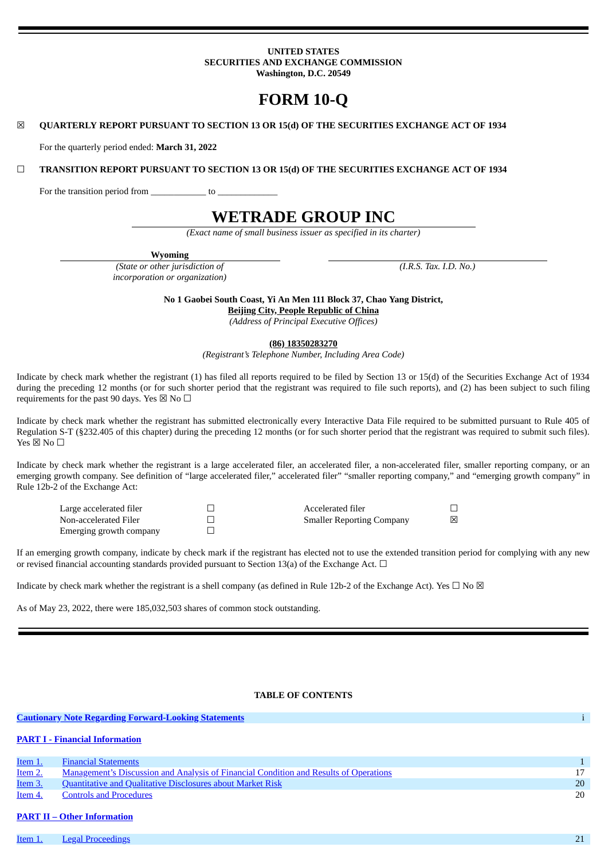## **UNITED STATES SECURITIES AND EXCHANGE COMMISSION Washington, D.C. 20549**

# **FORM 10-Q**

#### ☒ **QUARTERLY REPORT PURSUANT TO SECTION 13 OR 15(d) OF THE SECURITIES EXCHANGE ACT OF 1934**

For the quarterly period ended: **March 31, 2022**

☐ **TRANSITION REPORT PURSUANT TO SECTION 13 OR 15(d) OF THE SECURITIES EXCHANGE ACT OF 1934**

For the transition period from \_\_\_\_\_\_\_\_\_\_\_\_\_\_ to \_

# **WETRADE GROUP INC**

*(Exact name of small business issuer as specified in its charter)*

**Wyoming**

*(State or other jurisdiction of incorporation or organization)* *(I.R.S. Tax. I.D. No.)*

**No 1 Gaobei South Coast, Yi An Men 111 Block 37, Chao Yang District, Beijing City, People Republic of China**

*(Address of Principal Executive Offices)*

#### **(86) 18350283270**

*(Registrant's Telephone Number, Including Area Code)*

Indicate by check mark whether the registrant (1) has filed all reports required to be filed by Section 13 or 15(d) of the Securities Exchange Act of 1934 during the preceding 12 months (or for such shorter period that the registrant was required to file such reports), and (2) has been subject to such filing requirements for the past 90 days. Yes  $\boxtimes$  No  $\Box$ 

Indicate by check mark whether the registrant has submitted electronically every Interactive Data File required to be submitted pursuant to Rule 405 of Regulation S-T (§232.405 of this chapter) during the preceding 12 months (or for such shorter period that the registrant was required to submit such files).  $Yes \boxtimes No \square$ 

Indicate by check mark whether the registrant is a large accelerated filer, an accelerated filer, a non-accelerated filer, smaller reporting company, or an emerging growth company. See definition of "large accelerated filer," accelerated filer" "smaller reporting company," and "emerging growth company" in Rule 12b-2 of the Exchange Act:

Non-accelerated Filer  $□$  Smaller Reporting Company  $□$ Emerging growth company

Large accelerated filer ☐ Accelerated filer ☐

If an emerging growth company, indicate by check mark if the registrant has elected not to use the extended transition period for complying with any new or revised financial accounting standards provided pursuant to Section 13(a) of the Exchange Act.  $\Box$ 

Indicate by check mark whether the registrant is a shell company (as defined in Rule 12b-2 of the Exchange Act). Yes  $\Box$  No  $\boxtimes$ 

As of May 23, 2022, there were 185,032,503 shares of common stock outstanding.

## <span id="page-0-0"></span>**TABLE OF CONTENTS**

|                | <b>Cautionary Note Regarding Forward-Looking Statements</b>                           |    |  |  |
|----------------|---------------------------------------------------------------------------------------|----|--|--|
|                | <b>PART I - Financial Information</b>                                                 |    |  |  |
| Item 1.        | <b>Financial Statements</b>                                                           |    |  |  |
| Item 2.        | Management's Discussion and Analysis of Financial Condition and Results of Operations |    |  |  |
| <b>Item 3.</b> | <b>Quantitative and Qualitative Disclosures about Market Risk</b>                     | 20 |  |  |
| Item 4.        | <b>Controls and Procedures</b>                                                        | 20 |  |  |

## **PART II – Other [Information](#page-16-0)**

**[Item](#page-16-1) 1.** Legal [Proceedings](#page-16-1) 21 and 21 and 22 and 22 and 22 and 22 and 22 and 23 and 23 and 24 and 25 and 25 and 25 and 26 and 26 and 27 and 27 and 27 and 27 and 27 and 27 and 27 and 27 and 27 and 27 and 27 and 27 and 27 an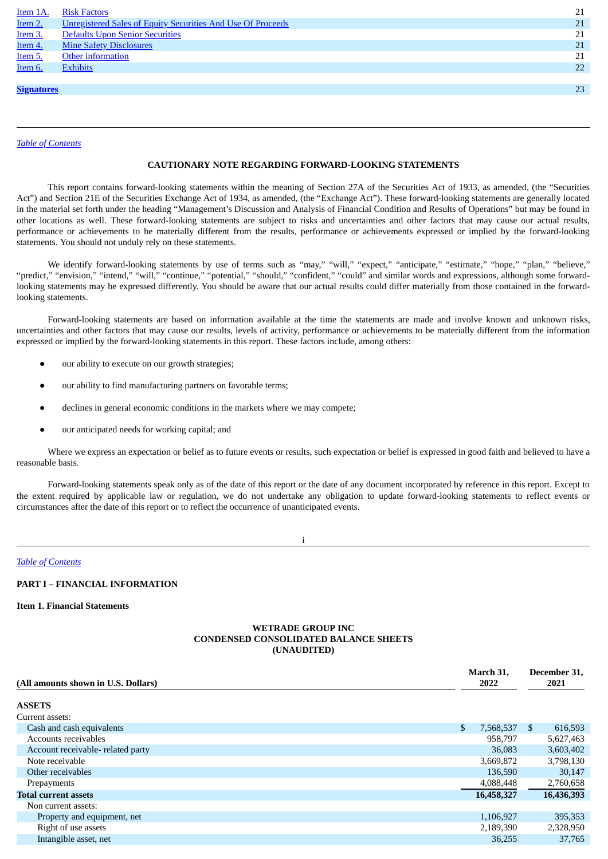| <u>Item 1A.</u>   | <b>Risk Factors</b>                                                | 21 |
|-------------------|--------------------------------------------------------------------|----|
| Item 2.           | <b>Unregistered Sales of Equity Securities And Use Of Proceeds</b> | 21 |
| Item 3.           | Defaults Upon Senior Securities                                    | 21 |
| Item 4.           | <b>Mine Safety Disclosures</b>                                     | 21 |
| Item 5.           | Other information                                                  | 21 |
| Item 6.           | <b>Exhibits</b>                                                    | 22 |
|                   |                                                                    |    |
| <b>Signatures</b> |                                                                    | 23 |
|                   |                                                                    |    |
|                   |                                                                    |    |

*Table of [Contents](#page-0-0)*

## **CAUTIONARY NOTE REGARDING FORWARD-LOOKING STATEMENTS**

This report contains forward-looking statements within the meaning of Section 27A of the Securities Act of 1933, as amended, (the "Securities Act") and Section 21E of the Securities Exchange Act of 1934, as amended, (the "Exchange Act"). These forward-looking statements are generally located in the material set forth under the heading "Management's Discussion and Analysis of Financial Condition and Results of Operations" but may be found in other locations as well. These forward-looking statements are subject to risks and uncertainties and other factors that may cause our actual results, performance or achievements to be materially different from the results, performance or achievements expressed or implied by the forward-looking statements. You should not unduly rely on these statements.

We identify forward-looking statements by use of terms such as "may," "will," "expect," "anticipate," "estimate," "hope," "plan," "believe," "predict," "envision," "intend," "will," "continue," "potential," "should," "confident," "could" and similar words and expressions, although some forwardlooking statements may be expressed differently. You should be aware that our actual results could differ materially from those contained in the forwardlooking statements.

Forward-looking statements are based on information available at the time the statements are made and involve known and unknown risks, uncertainties and other factors that may cause our results, levels of activity, performance or achievements to be materially different from the information expressed or implied by the forward-looking statements in this report. These factors include, among others:

- our ability to execute on our growth strategies;
- our ability to find manufacturing partners on favorable terms;
- declines in general economic conditions in the markets where we may compete;
- our anticipated needs for working capital; and

Where we express an expectation or belief as to future events or results, such expectation or belief is expressed in good faith and believed to have a reasonable basis.

Forward-looking statements speak only as of the date of this report or the date of any document incorporated by reference in this report. Except to the extent required by applicable law or regulation, we do not undertake any obligation to update forward-looking statements to reflect events or circumstances after the date of this report or to reflect the occurrence of unanticipated events.

i

*Table of [Contents](#page-0-0)*

## <span id="page-1-0"></span>**PART I – FINANCIAL INFORMATION**

<span id="page-1-1"></span>**Item 1. Financial Statements**

## **WETRADE GROUP INC CONDENSED CONSOLIDATED BALANCE SHEETS (UNAUDITED)**

| (All amounts shown in U.S. Dollars) | March 31.<br>2022 |    | December 31,<br>2021 |
|-------------------------------------|-------------------|----|----------------------|
| <b>ASSETS</b>                       |                   |    |                      |
| Current assets:                     |                   |    |                      |
| Cash and cash equivalents           | \$<br>7,568,537   | S. | 616,593              |
| Accounts receivables                | 958,797           |    | 5,627,463            |
| Account receivable- related party   | 36,083            |    | 3,603,402            |
| Note receivable                     | 3,669,872         |    | 3,798,130            |
| Other receivables                   | 136,590           |    | 30,147               |
| Prepayments                         | 4,088,448         |    | 2,760,658            |
| <b>Total current assets</b>         | 16,458,327        |    | 16,436,393           |
| Non current assets:                 |                   |    |                      |
| Property and equipment, net         | 1,106,927         |    | 395,353              |
| Right of use assets                 | 2,189,390         |    | 2,328,950            |
| Intangible asset, net               | 36,255            |    | 37,765               |
|                                     |                   |    |                      |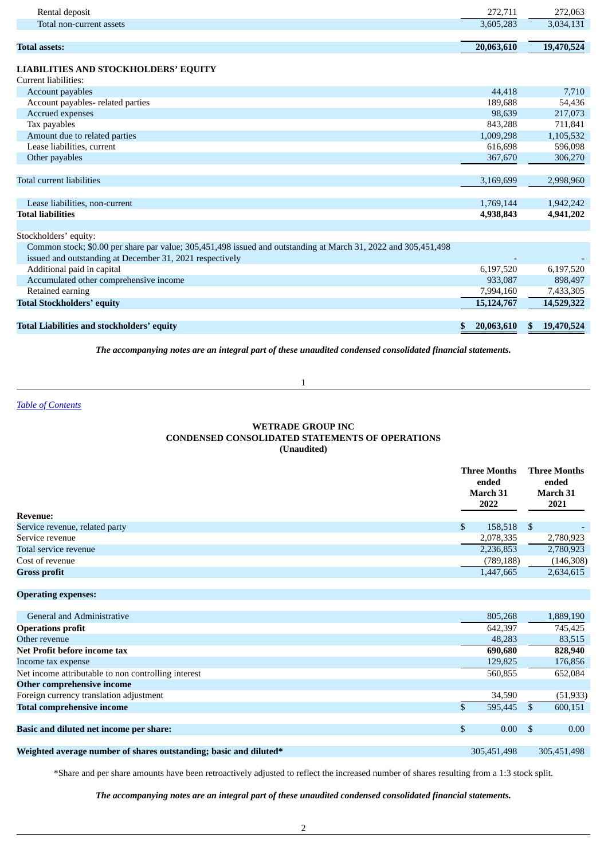| <b>Total assets:</b>     | 20,063,610 | 19,470,524 |
|--------------------------|------------|------------|
| Total non-current assets | 3,605,283  | 3,034,131  |
| Rental deposit           | 272.711    | 272,063    |
|                          |            |            |

# **LIABILITIES AND STOCKHOLDERS' EQUITY**

| Current liabilities:             |           |           |
|----------------------------------|-----------|-----------|
| Account payables                 | 44,418    | 7,710     |
| Account payables-related parties | 189,688   | 54,436    |
| Accrued expenses                 | 98,639    | 217,073   |
| Tax payables                     | 843.288   | 711,841   |
| Amount due to related parties    | 1,009,298 | 1,105,532 |
| Lease liabilities, current       | 616.698   | 596,098   |
| Other payables                   | 367,670   | 306,270   |
|                                  |           |           |
| Total current liabilities        | 3,169,699 | 2,998,960 |
|                                  |           |           |
| Lease liabilities, non-current   | 1,769,144 | 1,942,242 |
| <b>Total liabilities</b>         | 4,938,843 | 4,941,202 |
|                                  |           |           |

Stockholders' equity:

| Common stock; \$0.00 per share par value; 305,451,498 issued and outstanding at March 31, 2022 and 305,451,498 |            |                  |
|----------------------------------------------------------------------------------------------------------------|------------|------------------|
| issued and outstanding at December 31, 2021 respectively                                                       |            |                  |
| Additional paid in capital                                                                                     | 6.197.520  | 6,197,520        |
| Accumulated other comprehensive income                                                                         | 933.087    | 898,497          |
| Retained earning                                                                                               | 7.994.160  | 7,433,305        |
| Total Stockholders' equity                                                                                     | 15,124,767 | 14,529,322       |
|                                                                                                                |            |                  |
| Total Liabilities and stockholders' equity                                                                     | 20.063.610 | 19,470,524<br>S. |

*The accompanying notes are an integral part of these unaudited condensed consolidated financial statements.*

1

*Table of [Contents](#page-0-0)*

## **WETRADE GROUP INC CONDENSED CONSOLIDATED STATEMENTS OF OPERATIONS (Unaudited)**

| <b>Revenue:</b>                | <b>Three Months</b><br>ended<br>March 31<br>2022 |    | <b>Three Months</b><br>ended<br>March 31<br>2021 |
|--------------------------------|--------------------------------------------------|----|--------------------------------------------------|
| Service revenue, related party | \$<br>158,518                                    | -S |                                                  |
| Service revenue                | 2,078,335                                        |    | 2,780,923                                        |
| Total service revenue          | 2,236,853                                        |    | 2,780,923                                        |
| Cost of revenue                | (789, 188)                                       |    | (146, 308)                                       |
| <b>Gross profit</b>            | 1,447,665                                        |    | 2,634,615                                        |
|                                |                                                  |    |                                                  |

## **Operating expenses:**

| <b>General and Administrative</b>                                 | 805,268                 |      | 1,889,190         |
|-------------------------------------------------------------------|-------------------------|------|-------------------|
| <b>Operations profit</b>                                          | 642,397                 |      | 745,425           |
| Other revenue                                                     | 48,283                  |      | 83,515            |
| Net Profit before income tax                                      | 690,680                 |      | 828,940           |
| Income tax expense                                                | 129,825                 |      | 176,856           |
| Net income attributable to non controlling interest               | 560,855                 |      | 652,084           |
| Other comprehensive income                                        |                         |      |                   |
| Foreign currency translation adjustment                           | 34,590                  |      | (51, 933)         |
| <b>Total comprehensive income</b>                                 | \$<br>595,445           |      | 600,151           |
|                                                                   |                         |      |                   |
| <b>Basic and diluted net income per share:</b>                    | \$<br>0.00 <sub>1</sub> | - \$ | 0.00 <sub>1</sub> |
|                                                                   |                         |      |                   |
| Weighted average number of shares outstanding; basic and diluted* | 305.451.498             |      | 305.451.498       |

\*Share and per share amounts have been retroactively adjusted to reflect the increased number of shares resulting from a 1:3 stock split.

*The accompanying notes are an integral part of these unaudited condensed consolidated financial statements.*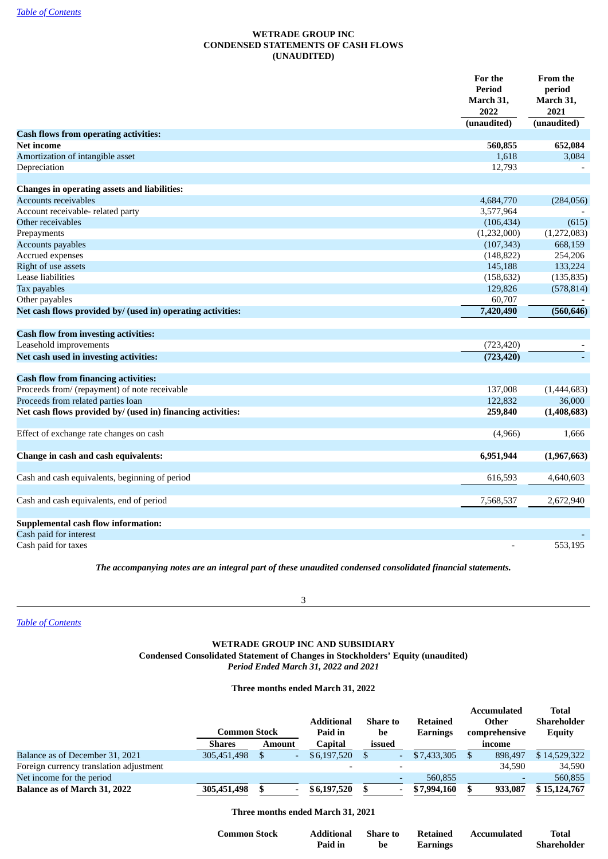## **WETRADE GROUP INC CONDENSED STATEMENTS OF CASH FLOWS (UNAUDITED)**

|                                                             | For the<br>Period<br>March 31,<br>2022 | <b>From the</b><br>period<br>March 31,<br>2021 |
|-------------------------------------------------------------|----------------------------------------|------------------------------------------------|
|                                                             | (unaudited)                            | (unaudited)                                    |
| <b>Cash flows from operating activities:</b><br>Net income  | 560,855                                | 652,084                                        |
| Amortization of intangible asset                            | 1,618                                  | 3,084                                          |
| Depreciation                                                | 12,793                                 |                                                |
|                                                             |                                        |                                                |
| <b>Changes in operating assets and liabilities:</b>         |                                        |                                                |
| Accounts receivables                                        | 4,684,770                              | (284,056)                                      |
| Account receivable- related party                           | 3,577,964                              |                                                |
| Other receivables                                           | (106, 434)                             | (615)                                          |
| Prepayments                                                 | (1,232,000)                            | (1,272,083)                                    |
| Accounts payables                                           | (107, 343)                             | 668,159                                        |
| Accrued expenses                                            | (148, 822)                             | 254,206                                        |
| Right of use assets                                         | 145,188                                | 133,224                                        |
| <b>Lease liabilities</b>                                    | (158, 632)                             | (135, 835)                                     |
| Tax payables                                                | 129,826                                | (578, 814)                                     |
| Other payables                                              | 60,707                                 |                                                |
| Net cash flows provided by/ (used in) operating activities: | 7,420,490                              | (560, 646)                                     |
| <b>Cash flow from investing activities:</b>                 |                                        |                                                |
| Leasehold improvements                                      | (723, 420)                             |                                                |
| Net cash used in investing activities:                      | (723, 420)                             |                                                |
| <b>Cash flow from financing activities:</b>                 |                                        |                                                |
| Proceeds from/ (repayment) of note receivable               | 137,008                                | (1,444,683)                                    |
| Proceeds from related parties loan                          | 122,832                                | 36,000                                         |
| Net cash flows provided by/ (used in) financing activities: | 259,840                                | (1,408,683)                                    |
| Effect of exchange rate changes on cash                     | (4,966)                                | 1,666                                          |
| Change in cash and cash equivalents:                        | 6,951,944                              | (1,967,663)                                    |
| Cash and cash equivalents, beginning of period              | 616,593                                | 4,640,603                                      |
| Cash and cash equivalents, end of period                    | 7,568,537                              | 2,672,940                                      |
| <b>Supplemental cash flow information:</b>                  |                                        |                                                |
| Cash paid for interest                                      |                                        |                                                |
| Cash paid for taxes                                         |                                        | 553,195                                        |

*The accompanying notes are an integral part of these unaudited condensed consolidated financial statements.*

3

*Table of [Contents](#page-0-0)*

## **WETRADE GROUP INC AND SUBSIDIARY Condensed Consolidated Statement of Changes in Stockholders' Equity (unaudited)** *Period Ended March 31, 2022 and 2021*

**Three months ended March 31, 2022**

|                                         |               |                          |                          |                 |                 | <b>Accumulated</b> | <b>Total</b>  |
|-----------------------------------------|---------------|--------------------------|--------------------------|-----------------|-----------------|--------------------|---------------|
|                                         |               |                          | <b>Additional</b>        | <b>Share to</b> | <b>Retained</b> | Other              | Shareholder   |
|                                         | Common Stock  |                          | Paid in                  | be              | <b>Earnings</b> | comprehensive      | <b>Equity</b> |
|                                         | <b>Shares</b> | Amount                   | Capital                  | issued          |                 | income             |               |
| Balance as of December 31, 2021         | 305,451,498   |                          | \$6,197,520              |                 | \$7,433,305     | 898.497            | \$14,529,322  |
| Foreign currency translation adjustment |               |                          | $\overline{\phantom{0}}$ |                 |                 | 34.590             | 34,590        |
| Net income for the period               |               |                          |                          |                 | 560,855         |                    | 560,855       |
| Balance as of March 31, 2022            | 305,451,498   | $\overline{\phantom{a}}$ | \$6,197,520              |                 | \$7,994,160     | 933,087            | \$15,124,767  |

## **Three months ended March 31, 2021**

| <b>Common Stock</b> | Additional | Share to | <b>Retained</b> | Accumulated | Total       |
|---------------------|------------|----------|-----------------|-------------|-------------|
|                     | Paid in    | be       | Earnings        |             | Shareholder |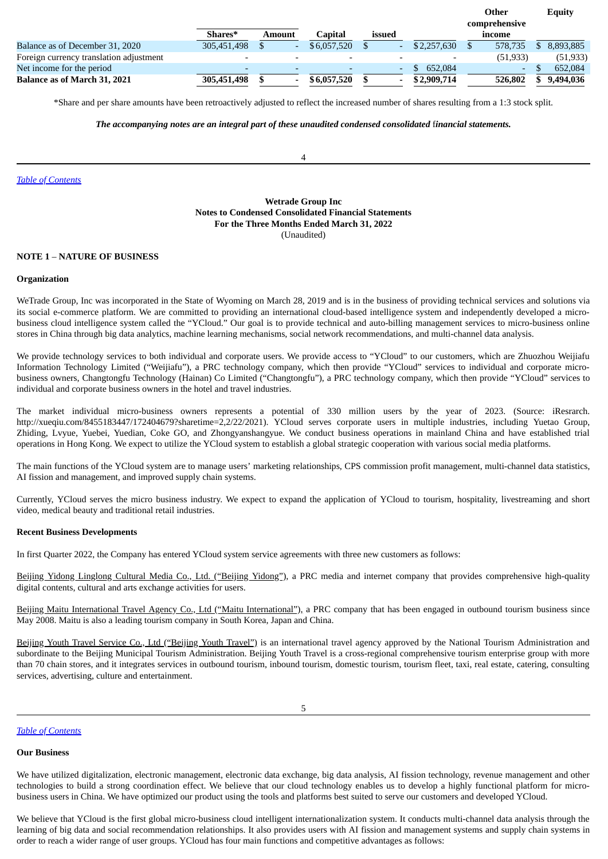|                                         |                          |        |             |                |             | Other         | Equity    |
|-----------------------------------------|--------------------------|--------|-------------|----------------|-------------|---------------|-----------|
|                                         |                          |        |             |                |             | comprehensive |           |
|                                         | Shares*                  | Amount | Capital     | issued         |             | income        |           |
| Balance as of December 31, 2020         | 305,451,498              |        | \$6,057,520 |                | \$2,257,630 | 578.735       | 8,893,885 |
| Foreign currency translation adjustment |                          |        |             |                |             | (51, 933)     | (51, 933) |
| Net income for the period               | $\overline{\phantom{0}}$ |        |             | $\overline{a}$ | 652,084     | $\sim$        | 652,084   |
| Balance as of March 31, 2021            | 305,451,498              |        | \$6,057,520 |                | \$2,909,714 | 526,802       | 9,494,036 |

\*Share and per share amounts have been retroactively adjusted to reflect the increased number of shares resulting from a 1:3 stock split.

#### *The accompanying notes are an integral part of these unaudited condensed consolidated* f*inancial statements.*

4

*Table of [Contents](#page-0-0)*

## **Wetrade Group Inc Notes to Condensed Consolidated Financial Statements For the Three Months Ended March 31, 2022** (Unaudited)

#### **NOTE 1** – **NATURE OF BUSINESS**

#### **Organization**

WeTrade Group, Inc was incorporated in the State of Wyoming on March 28, 2019 and is in the business of providing technical services and solutions via its social e-commerce platform. We are committed to providing an international cloud-based intelligence system and independently developed a microbusiness cloud intelligence system called the "YCloud." Our goal is to provide technical and auto-billing management services to micro-business online stores in China through big data analytics, machine learning mechanisms, social network recommendations, and multi-channel data analysis.

We provide technology services to both individual and corporate users. We provide access to "YCloud" to our customers, which are Zhuozhou Weijiafu Information Technology Limited ("Weijiafu"), a PRC technology company, which then provide "YCloud" services to individual and corporate microbusiness owners, Changtongfu Technology (Hainan) Co Limited ("Changtongfu"), a PRC technology company, which then provide "YCloud" services to individual and corporate business owners in the hotel and travel industries.

The market individual micro-business owners represents a potential of 330 million users by the year of 2023. (Source: iResrarch. http://xueqiu.com/8455183447/172404679?sharetime=2,2/22/2021). YCloud serves corporate users in multiple industries, including Yuetao Group, Zhiding, Lvyue, Yuebei, Yuedian, Coke GO, and Zhongyanshangyue. We conduct business operations in mainland China and have established trial operations in Hong Kong. We expect to utilize the YCloud system to establish a global strategic cooperation with various social media platforms.

The main functions of the YCloud system are to manage users' marketing relationships, CPS commission profit management, multi-channel data statistics, AI fission and management, and improved supply chain systems.

Currently, YCloud serves the micro business industry. We expect to expand the application of YCloud to tourism, hospitality, livestreaming and short video, medical beauty and traditional retail industries.

## **Recent Business Developments**

In first Quarter 2022, the Company has entered YCloud system service agreements with three new customers as follows:

Beijing Yidong Linglong Cultural Media Co., Ltd. ("Beijing Yidong"), a PRC media and internet company that provides comprehensive high-quality digital contents, cultural and arts exchange activities for users.

Beijing Maitu International Travel Agency Co., Ltd ("Maitu International"), a PRC company that has been engaged in outbound tourism business since May 2008. Maitu is also a leading tourism company in South Korea, Japan and China.

Beijing Youth Travel Service Co., Ltd ("Beijing Youth Travel") is an international travel agency approved by the National Tourism Administration and subordinate to the Beijing Municipal Tourism Administration. Beijing Youth Travel is a cross-regional comprehensive tourism enterprise group with more than 70 chain stores, and it integrates services in outbound tourism, inbound tourism, domestic tourism, tourism fleet, taxi, real estate, catering, consulting services, advertising, culture and entertainment.

#### *Table of [Contents](#page-0-0)*

## **Our Business**

We have utilized digitalization, electronic management, electronic data exchange, big data analysis, AI fission technology, revenue management and other technologies to build a strong coordination effect. We believe that our cloud technology enables us to develop a highly functional platform for microbusiness users in China. We have optimized our product using the tools and platforms best suited to serve our customers and developed YCloud.

We believe that YCloud is the first global micro-business cloud intelligent internationalization system. It conducts multi-channel data analysis through the learning of big data and social recommendation relationships. It also provides users with AI fission and management systems and supply chain systems in order to reach a wider range of user groups. YCloud has four main functions and competitive advantages as follows: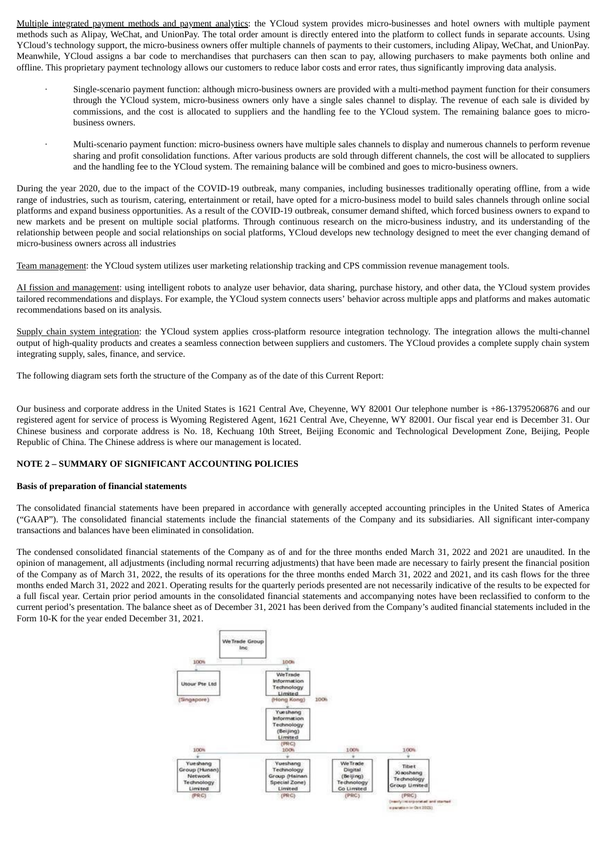Multiple integrated payment methods and payment analytics: the YCloud system provides micro-businesses and hotel owners with multiple payment methods such as Alipay, WeChat, and UnionPay. The total order amount is directly entered into the platform to collect funds in separate accounts. Using YCloud's technology support, the micro-business owners offer multiple channels of payments to their customers, including Alipay, WeChat, and UnionPay. Meanwhile, YCloud assigns a bar code to merchandises that purchasers can then scan to pay, allowing purchasers to make payments both online and offline. This proprietary payment technology allows our customers to reduce labor costs and error rates, thus significantly improving data analysis.

- · Single-scenario payment function: although micro-business owners are provided with a multi-method payment function for their consumers through the YCloud system, micro-business owners only have a single sales channel to display. The revenue of each sale is divided by commissions, and the cost is allocated to suppliers and the handling fee to the YCloud system. The remaining balance goes to microbusiness owners.
- · Multi-scenario payment function: micro-business owners have multiple sales channels to display and numerous channels to perform revenue sharing and profit consolidation functions. After various products are sold through different channels, the cost will be allocated to suppliers and the handling fee to the YCloud system. The remaining balance will be combined and goes to micro-business owners.

During the year 2020, due to the impact of the COVID-19 outbreak, many companies, including businesses traditionally operating offline, from a wide range of industries, such as tourism, catering, entertainment or retail, have opted for a micro-business model to build sales channels through online social platforms and expand business opportunities. As a result of the COVID-19 outbreak, consumer demand shifted, which forced business owners to expand to new markets and be present on multiple social platforms. Through continuous research on the micro-business industry, and its understanding of the relationship between people and social relationships on social platforms, YCloud develops new technology designed to meet the ever changing demand of micro-business owners across all industries

Team management: the YCloud system utilizes user marketing relationship tracking and CPS commission revenue management tools.

AI fission and management: using intelligent robots to analyze user behavior, data sharing, purchase history, and other data, the YCloud system provides tailored recommendations and displays. For example, the YCloud system connects users' behavior across multiple apps and platforms and makes automatic recommendations based on its analysis.

Supply chain system integration: the YCloud system applies cross-platform resource integration technology. The integration allows the multi-channel output of high-quality products and creates a seamless connection between suppliers and customers. The YCloud provides a complete supply chain system integrating supply, sales, finance, and service.

The following diagram sets forth the structure of the Company as of the date of this Current Report:

Our business and corporate address in the United States is 1621 Central Ave, Cheyenne, WY 82001 Our telephone number is +86-13795206876 and our registered agent for service of process is Wyoming Registered Agent, 1621 Central Ave, Cheyenne, WY 82001. Our fiscal year end is December 31. Our Chinese business and corporate address is No. 18, Kechuang 10th Street, Beijing Economic and Technological Development Zone, Beijing, People Republic of China. The Chinese address is where our management is located.

## **NOTE 2 – SUMMARY OF SIGNIFICANT ACCOUNTING POLICIES**

## **Basis of preparation of financial statements**

The consolidated financial statements have been prepared in accordance with generally accepted accounting principles in the United States of America ("GAAP"). The consolidated financial statements include the financial statements of the Company and its subsidiaries. All significant inter-company transactions and balances have been eliminated in consolidation.

The condensed consolidated financial statements of the Company as of and for the three months ended March 31, 2022 and 2021 are unaudited. In the opinion of management, all adjustments (including normal recurring adjustments) that have been made are necessary to fairly present the financial position of the Company as of March 31, 2022, the results of its operations for the three months ended March 31, 2022 and 2021, and its cash flows for the three months ended March 31, 2022 and 2021. Operating results for the quarterly periods presented are not necessarily indicative of the results to be expected for a full fiscal year. Certain prior period amounts in the consolidated financial statements and accompanying notes have been reclassified to conform to the current period's presentation. The balance sheet as of December 31, 2021 has been derived from the Company's audited financial statements included in the Form 10-K for the year ended December 31, 2021.

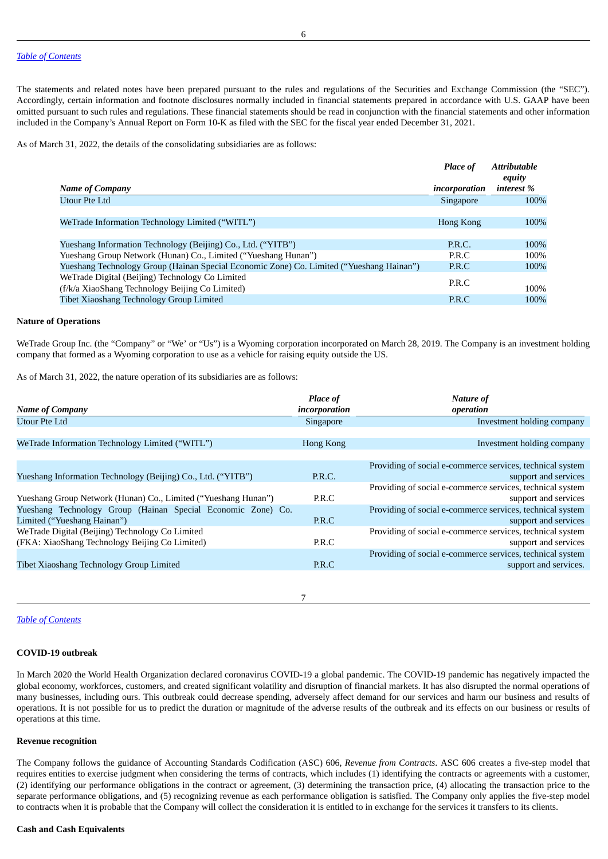The statements and related notes have been prepared pursuant to the rules and regulations of the Securities and Exchange Commission (the "SEC"). Accordingly, certain information and footnote disclosures normally included in financial statements prepared in accordance with U.S. GAAP have been omitted pursuant to such rules and regulations. These financial statements should be read in conjunction with the financial statements and other information included in the Company's Annual Report on Form 10-K as filed with the SEC for the fiscal year ended December 31, 2021.

As of March 31, 2022, the details of the consolidating subsidiaries are as follows:

|                                                                                          | <b>Place of</b>  | <b>Attributable</b><br>equity |
|------------------------------------------------------------------------------------------|------------------|-------------------------------|
| <b>Name of Company</b>                                                                   | incorporation    | interest %                    |
| Utour Pte Ltd                                                                            | Singapore        | 100%                          |
|                                                                                          |                  |                               |
| WeTrade Information Technology Limited ("WITL")                                          | <b>Hong Kong</b> | 100%                          |
|                                                                                          |                  |                               |
| Yueshang Information Technology (Beijing) Co., Ltd. ("YITB")                             | P.R.C.           | 100%                          |
| Yueshang Group Network (Hunan) Co., Limited ("Yueshang Hunan")                           | P.R.C            | 100%                          |
| Yueshang Technology Group (Hainan Special Economic Zone) Co. Limited ("Yueshang Hainan") | P.R.C            | 100%                          |
| WeTrade Digital (Beijing) Technology Co Limited                                          | P.R.C            |                               |
| (f/k/a XiaoShang Technology Beijing Co Limited)                                          |                  | 100%                          |
| Tibet Xiaoshang Technology Group Limited                                                 | P.R.C            | 100%                          |
|                                                                                          |                  |                               |

#### **Nature of Operations**

WeTrade Group Inc. (the "Company" or "We' or "Us") is a Wyoming corporation incorporated on March 28, 2019. The Company is an investment holding company that formed as a Wyoming corporation to use as a vehicle for raising equity outside the US.

As of March 31, 2022, the nature operation of its subsidiaries are as follows:

|                                                                | Place of      | Nature of                                                 |
|----------------------------------------------------------------|---------------|-----------------------------------------------------------|
| <b>Name of Company</b>                                         | incorporation | operation                                                 |
| Utour Pte Ltd                                                  | Singapore     | Investment holding company                                |
|                                                                |               |                                                           |
| WeTrade Information Technology Limited ("WITL")                | Hong Kong     | Investment holding company                                |
|                                                                |               |                                                           |
|                                                                |               | Providing of social e-commerce services, technical system |
| Yueshang Information Technology (Beijing) Co., Ltd. ("YITB")   | P.R.C.        | support and services                                      |
|                                                                |               | Providing of social e-commerce services, technical system |
| Yueshang Group Network (Hunan) Co., Limited ("Yueshang Hunan") | P.R.C         | support and services                                      |
| Yueshang Technology Group (Hainan Special Economic Zone) Co.   |               | Providing of social e-commerce services, technical system |
| Limited ("Yueshang Hainan")                                    | P.R.C         | support and services                                      |
| WeTrade Digital (Beijing) Technology Co Limited                |               | Providing of social e-commerce services, technical system |
| (FKA: XiaoShang Technology Beijing Co Limited)                 | P.R.C         | support and services                                      |
|                                                                |               | Providing of social e-commerce services, technical system |
| Tibet Xiaoshang Technology Group Limited                       | P.R.C         | support and services.                                     |
|                                                                |               |                                                           |
|                                                                |               |                                                           |
|                                                                |               |                                                           |

#### *Table of [Contents](#page-0-0)*

#### **COVID-19 outbreak**

In March 2020 the World Health Organization declared coronavirus COVID-19 a global pandemic. The COVID-19 pandemic has negatively impacted the global economy, workforces, customers, and created significant volatility and disruption of financial markets. It has also disrupted the normal operations of many businesses, including ours. This outbreak could decrease spending, adversely affect demand for our services and harm our business and results of operations. It is not possible for us to predict the duration or magnitude of the adverse results of the outbreak and its effects on our business or results of operations at this time.

## **Revenue recognition**

The Company follows the guidance of Accounting Standards Codification (ASC) 606, *Revenue from Contracts*. ASC 606 creates a five-step model that requires entities to exercise judgment when considering the terms of contracts, which includes (1) identifying the contracts or agreements with a customer, (2) identifying our performance obligations in the contract or agreement, (3) determining the transaction price, (4) allocating the transaction price to the separate performance obligations, and (5) recognizing revenue as each performance obligation is satisfied. The Company only applies the five-step model to contracts when it is probable that the Company will collect the consideration it is entitled to in exchange for the services it transfers to its clients.

#### **Cash and Cash Equivalents**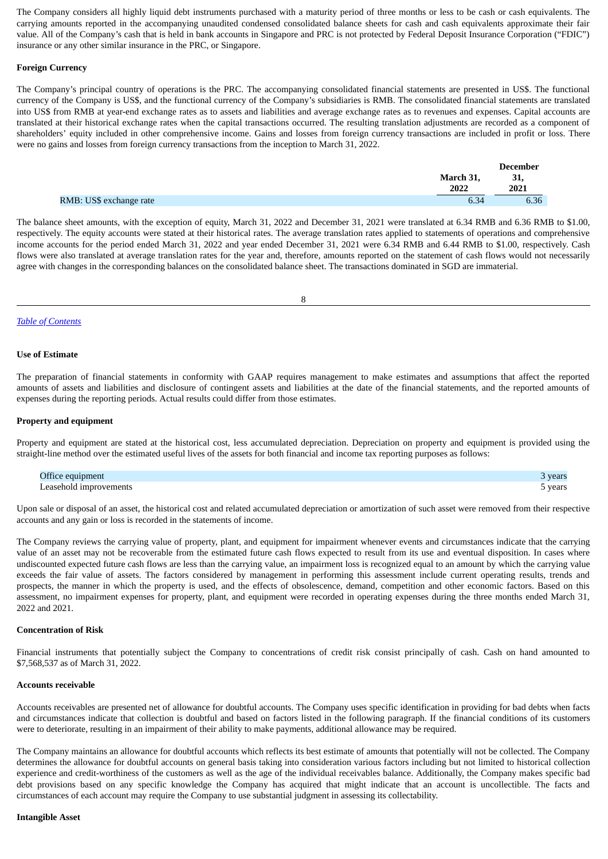The Company considers all highly liquid debt instruments purchased with a maturity period of three months or less to be cash or cash equivalents. The carrying amounts reported in the accompanying unaudited condensed consolidated balance sheets for cash and cash equivalents approximate their fair value. All of the Company's cash that is held in bank accounts in Singapore and PRC is not protected by Federal Deposit Insurance Corporation ("FDIC") insurance or any other similar insurance in the PRC, or Singapore.

#### **Foreign Currency**

The Company's principal country of operations is the PRC. The accompanying consolidated financial statements are presented in US\$. The functional currency of the Company is US\$, and the functional currency of the Company's subsidiaries is RMB. The consolidated financial statements are translated into US\$ from RMB at year-end exchange rates as to assets and liabilities and average exchange rates as to revenues and expenses. Capital accounts are translated at their historical exchange rates when the capital transactions occurred. The resulting translation adjustments are recorded as a component of shareholders' equity included in other comprehensive income. Gains and losses from foreign currency transactions are included in profit or loss. There were no gains and losses from foreign currency transactions from the inception to March 31, 2022.

|                         |           | <b>December</b> |
|-------------------------|-----------|-----------------|
|                         | March 31, | 31,             |
|                         | 2022      | 2021            |
| RMB: US\$ exchange rate | 6.34      | 6.36            |

The balance sheet amounts, with the exception of equity, March 31, 2022 and December 31, 2021 were translated at 6.34 RMB and 6.36 RMB to \$1.00, respectively. The equity accounts were stated at their historical rates. The average translation rates applied to statements of operations and comprehensive income accounts for the period ended March 31, 2022 and year ended December 31, 2021 were 6.34 RMB and 6.44 RMB to \$1.00, respectively. Cash flows were also translated at average translation rates for the year and, therefore, amounts reported on the statement of cash flows would not necessarily agree with changes in the corresponding balances on the consolidated balance sheet. The transactions dominated in SGD are immaterial.

8

## *Table of [Contents](#page-0-0)*

#### **Use of Estimate**

The preparation of financial statements in conformity with GAAP requires management to make estimates and assumptions that affect the reported amounts of assets and liabilities and disclosure of contingent assets and liabilities at the date of the financial statements, and the reported amounts of expenses during the reporting periods. Actual results could differ from those estimates.

#### **Property and equipment**

Property and equipment are stated at the historical cost, less accumulated depreciation. Depreciation on property and equipment is provided using the straight-line method over the estimated useful lives of the assets for both financial and income tax reporting purposes as follows:

| equipment<br>J††10          | year  |
|-----------------------------|-------|
| easehold.<br>' improvements | year. |

Upon sale or disposal of an asset, the historical cost and related accumulated depreciation or amortization of such asset were removed from their respective accounts and any gain or loss is recorded in the statements of income.

The Company reviews the carrying value of property, plant, and equipment for impairment whenever events and circumstances indicate that the carrying value of an asset may not be recoverable from the estimated future cash flows expected to result from its use and eventual disposition. In cases where undiscounted expected future cash flows are less than the carrying value, an impairment loss is recognized equal to an amount by which the carrying value exceeds the fair value of assets. The factors considered by management in performing this assessment include current operating results, trends and prospects, the manner in which the property is used, and the effects of obsolescence, demand, competition and other economic factors. Based on this assessment, no impairment expenses for property, plant, and equipment were recorded in operating expenses during the three months ended March 31, 2022 and 2021.

#### **Concentration of Risk**

Financial instruments that potentially subject the Company to concentrations of credit risk consist principally of cash. Cash on hand amounted to \$7,568,537 as of March 31, 2022.

#### **Accounts receivable**

Accounts receivables are presented net of allowance for doubtful accounts. The Company uses specific identification in providing for bad debts when facts and circumstances indicate that collection is doubtful and based on factors listed in the following paragraph. If the financial conditions of its customers were to deteriorate, resulting in an impairment of their ability to make payments, additional allowance may be required.

The Company maintains an allowance for doubtful accounts which reflects its best estimate of amounts that potentially will not be collected. The Company determines the allowance for doubtful accounts on general basis taking into consideration various factors including but not limited to historical collection experience and credit-worthiness of the customers as well as the age of the individual receivables balance. Additionally, the Company makes specific bad debt provisions based on any specific knowledge the Company has acquired that might indicate that an account is uncollectible. The facts and circumstances of each account may require the Company to use substantial judgment in assessing its collectability.

#### **Intangible Asset**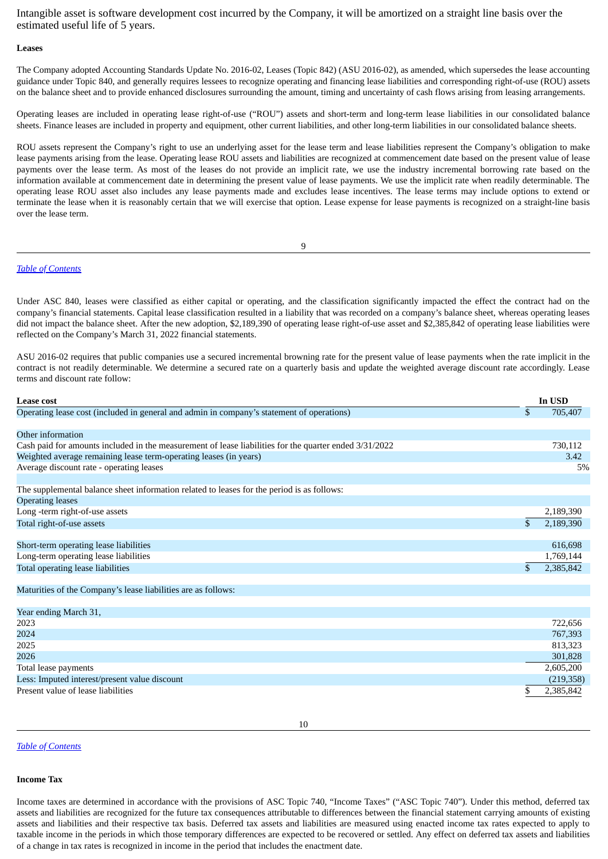Intangible asset is software development cost incurred by the Company, it will be amortized on a straight line basis over the estimated useful life of 5 years.

#### **Leases**

The Company adopted Accounting Standards Update No. 2016-02, Leases (Topic 842) (ASU 2016-02), as amended, which supersedes the lease accounting guidance under Topic 840, and generally requires lessees to recognize operating and financing lease liabilities and corresponding right-of-use (ROU) assets on the balance sheet and to provide enhanced disclosures surrounding the amount, timing and uncertainty of cash flows arising from leasing arrangements.

Operating leases are included in operating lease right-of-use ("ROU") assets and short-term and long-term lease liabilities in our consolidated balance sheets. Finance leases are included in property and equipment, other current liabilities, and other long-term liabilities in our consolidated balance sheets.

ROU assets represent the Company's right to use an underlying asset for the lease term and lease liabilities represent the Company's obligation to make lease payments arising from the lease. Operating lease ROU assets and liabilities are recognized at commencement date based on the present value of lease payments over the lease term. As most of the leases do not provide an implicit rate, we use the industry incremental borrowing rate based on the information available at commencement date in determining the present value of lease payments. We use the implicit rate when readily determinable. The operating lease ROU asset also includes any lease payments made and excludes lease incentives. The lease terms may include options to extend or terminate the lease when it is reasonably certain that we will exercise that option. Lease expense for lease payments is recognized on a straight-line basis over the lease term.

9

#### *Table of [Contents](#page-0-0)*

Under ASC 840, leases were classified as either capital or operating, and the classification significantly impacted the effect the contract had on the company's financial statements. Capital lease classification resulted in a liability that was recorded on a company's balance sheet, whereas operating leases did not impact the balance sheet. After the new adoption, \$2,189,390 of operating lease right-of-use asset and \$2,385,842 of operating lease liabilities were reflected on the Company's March 31, 2022 financial statements.

ASU 2016-02 requires that public companies use a secured incremental browning rate for the present value of lease payments when the rate implicit in the contract is not readily determinable. We determine a secured rate on a quarterly basis and update the weighted average discount rate accordingly. Lease terms and discount rate follow:

| \$<br>705,407<br>Other information<br>Cash paid for amounts included in the measurement of lease liabilities for the quarter ended 3/31/2022<br>730,112<br>Weighted average remaining lease term-operating leases (in years)<br>3.42<br>Average discount rate - operating leases<br>5%<br>2,189,390<br>\$<br>2,189,390<br>616,698<br>1,769,144<br>\$<br>2,385,842<br>Maturities of the Company's lease liabilities are as follows:<br>Year ending March 31,<br>722,656<br>767,393<br>813,323<br>301,828<br>2,605,200<br>(219, 358)<br>\$<br>2,385,842 | Lease cost                                                                                 | In USD |
|-------------------------------------------------------------------------------------------------------------------------------------------------------------------------------------------------------------------------------------------------------------------------------------------------------------------------------------------------------------------------------------------------------------------------------------------------------------------------------------------------------------------------------------------------------|--------------------------------------------------------------------------------------------|--------|
|                                                                                                                                                                                                                                                                                                                                                                                                                                                                                                                                                       | Operating lease cost (included in general and admin in company's statement of operations)  |        |
|                                                                                                                                                                                                                                                                                                                                                                                                                                                                                                                                                       |                                                                                            |        |
|                                                                                                                                                                                                                                                                                                                                                                                                                                                                                                                                                       |                                                                                            |        |
|                                                                                                                                                                                                                                                                                                                                                                                                                                                                                                                                                       |                                                                                            |        |
|                                                                                                                                                                                                                                                                                                                                                                                                                                                                                                                                                       |                                                                                            |        |
|                                                                                                                                                                                                                                                                                                                                                                                                                                                                                                                                                       |                                                                                            |        |
|                                                                                                                                                                                                                                                                                                                                                                                                                                                                                                                                                       | The supplemental balance sheet information related to leases for the period is as follows: |        |
|                                                                                                                                                                                                                                                                                                                                                                                                                                                                                                                                                       | <b>Operating leases</b>                                                                    |        |
|                                                                                                                                                                                                                                                                                                                                                                                                                                                                                                                                                       | Long -term right-of-use assets                                                             |        |
|                                                                                                                                                                                                                                                                                                                                                                                                                                                                                                                                                       | Total right-of-use assets                                                                  |        |
|                                                                                                                                                                                                                                                                                                                                                                                                                                                                                                                                                       |                                                                                            |        |
|                                                                                                                                                                                                                                                                                                                                                                                                                                                                                                                                                       | Short-term operating lease liabilities                                                     |        |
|                                                                                                                                                                                                                                                                                                                                                                                                                                                                                                                                                       | Long-term operating lease liabilities                                                      |        |
|                                                                                                                                                                                                                                                                                                                                                                                                                                                                                                                                                       | Total operating lease liabilities                                                          |        |
|                                                                                                                                                                                                                                                                                                                                                                                                                                                                                                                                                       |                                                                                            |        |
|                                                                                                                                                                                                                                                                                                                                                                                                                                                                                                                                                       |                                                                                            |        |
|                                                                                                                                                                                                                                                                                                                                                                                                                                                                                                                                                       |                                                                                            |        |
|                                                                                                                                                                                                                                                                                                                                                                                                                                                                                                                                                       | 2023                                                                                       |        |
|                                                                                                                                                                                                                                                                                                                                                                                                                                                                                                                                                       | 2024                                                                                       |        |
|                                                                                                                                                                                                                                                                                                                                                                                                                                                                                                                                                       | 2025                                                                                       |        |
|                                                                                                                                                                                                                                                                                                                                                                                                                                                                                                                                                       | 2026                                                                                       |        |
|                                                                                                                                                                                                                                                                                                                                                                                                                                                                                                                                                       | Total lease payments                                                                       |        |
|                                                                                                                                                                                                                                                                                                                                                                                                                                                                                                                                                       | Less: Imputed interest/present value discount                                              |        |
|                                                                                                                                                                                                                                                                                                                                                                                                                                                                                                                                                       | Present value of lease liabilities                                                         |        |

#### *Table of [Contents](#page-0-0)*

#### **Income Tax**

Income taxes are determined in accordance with the provisions of ASC Topic 740, "Income Taxes" ("ASC Topic 740"). Under this method, deferred tax assets and liabilities are recognized for the future tax consequences attributable to differences between the financial statement carrying amounts of existing assets and liabilities and their respective tax basis. Deferred tax assets and liabilities are measured using enacted income tax rates expected to apply to taxable income in the periods in which those temporary differences are expected to be recovered or settled. Any effect on deferred tax assets and liabilities of a change in tax rates is recognized in income in the period that includes the enactment date.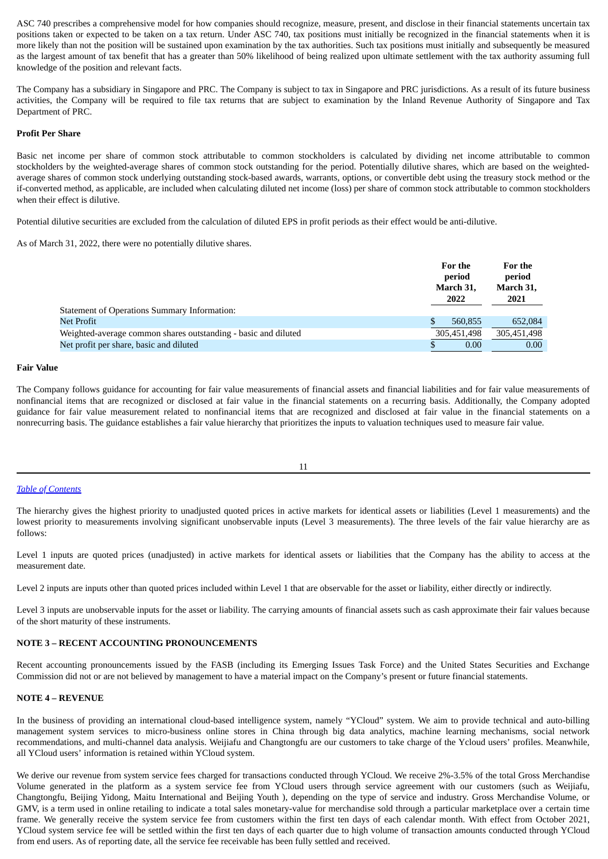ASC 740 prescribes a comprehensive model for how companies should recognize, measure, present, and disclose in their financial statements uncertain tax positions taken or expected to be taken on a tax return. Under ASC 740, tax positions must initially be recognized in the financial statements when it is more likely than not the position will be sustained upon examination by the tax authorities. Such tax positions must initially and subsequently be measured as the largest amount of tax benefit that has a greater than 50% likelihood of being realized upon ultimate settlement with the tax authority assuming full knowledge of the position and relevant facts.

The Company has a subsidiary in Singapore and PRC. The Company is subject to tax in Singapore and PRC jurisdictions. As a result of its future business activities, the Company will be required to file tax returns that are subject to examination by the Inland Revenue Authority of Singapore and Tax Department of PRC.

## **Profit Per Share**

Basic net income per share of common stock attributable to common stockholders is calculated by dividing net income attributable to common stockholders by the weighted-average shares of common stock outstanding for the period. Potentially dilutive shares, which are based on the weightedaverage shares of common stock underlying outstanding stock-based awards, warrants, options, or convertible debt using the treasury stock method or the if-converted method, as applicable, are included when calculating diluted net income (loss) per share of common stock attributable to common stockholders when their effect is dilutive.

Potential dilutive securities are excluded from the calculation of diluted EPS in profit periods as their effect would be anti-dilutive.

As of March 31, 2022, there were no potentially dilutive shares.

|                                                                | For the<br>period<br>March 31,<br>2022 | For the<br>period<br>March 31,<br>2021 |
|----------------------------------------------------------------|----------------------------------------|----------------------------------------|
| Statement of Operations Summary Information:                   |                                        |                                        |
| Net Profit                                                     | 560,855                                | 652,084                                |
| Weighted-average common shares outstanding - basic and diluted | 305.451.498                            | 305,451,498                            |
| Net profit per share, basic and diluted                        | 0.00                                   | 0.00                                   |

#### **Fair Value**

The Company follows guidance for accounting for fair value measurements of financial assets and financial liabilities and for fair value measurements of nonfinancial items that are recognized or disclosed at fair value in the financial statements on a recurring basis. Additionally, the Company adopted guidance for fair value measurement related to nonfinancial items that are recognized and disclosed at fair value in the financial statements on a nonrecurring basis. The guidance establishes a fair value hierarchy that prioritizes the inputs to valuation techniques used to measure fair value.

11

#### *Table of [Contents](#page-0-0)*

The hierarchy gives the highest priority to unadjusted quoted prices in active markets for identical assets or liabilities (Level 1 measurements) and the lowest priority to measurements involving significant unobservable inputs (Level 3 measurements). The three levels of the fair value hierarchy are as follows:

Level 1 inputs are quoted prices (unadjusted) in active markets for identical assets or liabilities that the Company has the ability to access at the measurement date.

Level 2 inputs are inputs other than quoted prices included within Level 1 that are observable for the asset or liability, either directly or indirectly.

Level 3 inputs are unobservable inputs for the asset or liability. The carrying amounts of financial assets such as cash approximate their fair values because of the short maturity of these instruments.

## **NOTE 3 – RECENT ACCOUNTING PRONOUNCEMENTS**

Recent accounting pronouncements issued by the FASB (including its Emerging Issues Task Force) and the United States Securities and Exchange Commission did not or are not believed by management to have a material impact on the Company's present or future financial statements.

#### **NOTE 4 – REVENUE**

In the business of providing an international cloud-based intelligence system, namely "YCloud" system. We aim to provide technical and auto-billing management system services to micro-business online stores in China through big data analytics, machine learning mechanisms, social network recommendations, and multi-channel data analysis. Weijiafu and Changtongfu are our customers to take charge of the Ycloud users' profiles. Meanwhile, all YCloud users' information is retained within YCloud system.

We derive our revenue from system service fees charged for transactions conducted through YCloud. We receive 2%-3.5% of the total Gross Merchandise Volume generated in the platform as a system service fee from YCloud users through service agreement with our customers (such as Weijiafu, Changtongfu, Beijing Yidong, Maitu International and Beijing Youth ), depending on the type of service and industry. Gross Merchandise Volume, or GMV, is a term used in online retailing to indicate a total sales monetary-value for merchandise sold through a particular marketplace over a certain time frame. We generally receive the system service fee from customers within the first ten days of each calendar month. With effect from October 2021, YCloud system service fee will be settled within the first ten days of each quarter due to high volume of transaction amounts conducted through YCloud from end users. As of reporting date, all the service fee receivable has been fully settled and received.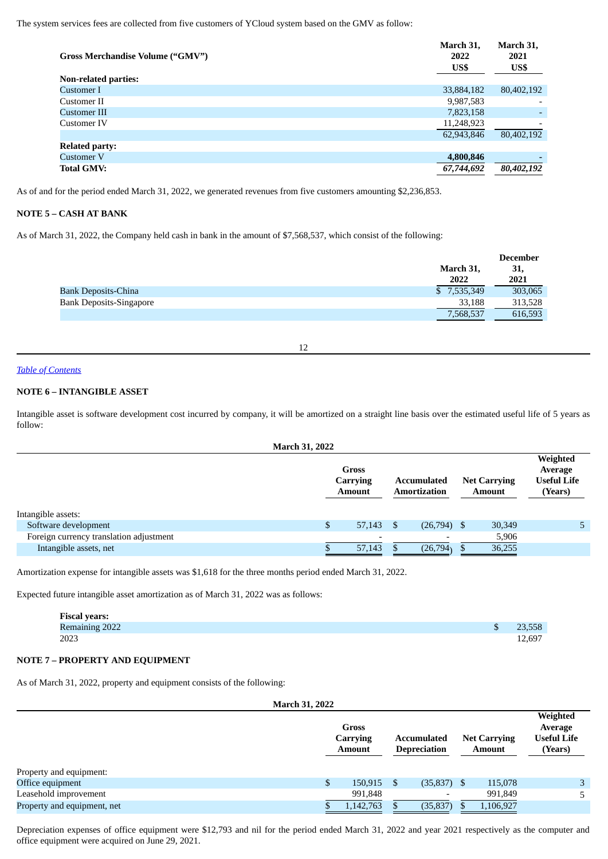The system services fees are collected from five customers of YCloud system based on the GMV as follow:

| Gross Merchandise Volume ("GMV") | March 31,<br>2022<br>US\$ | March 31,<br>2021<br>US\$ |
|----------------------------------|---------------------------|---------------------------|
| <b>Non-related parties:</b>      |                           |                           |
| Customer I                       | 33,884,182                | 80,402,192                |
| Customer II                      | 9,987,583                 |                           |
| <b>Customer III</b>              | 7,823,158                 |                           |
| Customer IV                      | 11,248,923                |                           |
|                                  | 62,943,846                | 80,402,192                |
| <b>Related party:</b>            |                           |                           |
| Customer V                       | 4,800,846                 |                           |
| <b>Total GMV:</b>                | 67,744,692                | 80,402,192                |

As of and for the period ended March 31, 2022, we generated revenues from five customers amounting \$2,236,853.

## **NOTE 5 – CASH AT BANK**

As of March 31, 2022, the Company held cash in bank in the amount of \$7,568,537, which consist of the following:

|                                |                   | <b>December</b> |
|--------------------------------|-------------------|-----------------|
|                                | March 31,<br>2022 | 31,<br>2021     |
| <b>Bank Deposits-China</b>     | \$7,535,349       | 303,065         |
| <b>Bank Deposits-Singapore</b> | 33.188            | 313,528         |
|                                | 7,568,537         | 616,593         |

12

#### *Table of [Contents](#page-0-0)*

## **NOTE 6 – INTANGIBLE ASSET**

Intangible asset is software development cost incurred by company, it will be amortized on a straight line basis over the estimated useful life of 5 years as follow:

|                                         | <b>March 31, 2022</b> |                                    |      |                                    |                                      |                                                      |
|-----------------------------------------|-----------------------|------------------------------------|------|------------------------------------|--------------------------------------|------------------------------------------------------|
|                                         |                       | Gross<br>Carrying<br><b>Amount</b> |      | Accumulated<br><b>Amortization</b> | <b>Net Carrying</b><br><b>Amount</b> | Weighted<br>Average<br><b>Useful Life</b><br>(Years) |
| Intangible assets:                      |                       |                                    |      |                                    |                                      |                                                      |
| Software development                    | \$                    | 57,143                             | - \$ | $(26,794)$ \$                      | 30,349                               |                                                      |
| Foreign currency translation adjustment |                       |                                    |      |                                    | 5,906                                |                                                      |
| Intangible assets, net                  |                       | 57,143                             |      | (26, 794)                          | 36,255                               |                                                      |

Amortization expense for intangible assets was \$1,618 for the three months period ended March 31, 2022.

Expected future intangible asset amortization as of March 31, 2022 was as follows:

| <b>Fiscal years:</b> |        |
|----------------------|--------|
| Remaining 2022       | 23,558 |
| 2023                 | 12,697 |

## **NOTE 7 – PROPERTY AND EQUIPMENT**

As of March 31, 2022, property and equipment consists of the following:

| <b>March 31, 2022</b>       |                                    |     |                                           |                                      |                                                      |
|-----------------------------|------------------------------------|-----|-------------------------------------------|--------------------------------------|------------------------------------------------------|
|                             | Gross<br>Carrying<br><b>Amount</b> |     | <b>Accumulated</b><br><b>Depreciation</b> | <b>Net Carrying</b><br><b>Amount</b> | Weighted<br>Average<br><b>Useful Life</b><br>(Years) |
| Property and equipment:     |                                    |     |                                           |                                      |                                                      |
| Office equipment            | \$<br>150,915                      | -\$ | $(35,837)$ \$                             | 115,078                              | 3                                                    |
| Leasehold improvement       | 991,848                            |     | $\overline{\phantom{a}}$                  | 991,849                              | 5                                                    |
| Property and equipment, net | 1,142,763                          |     | (35, 837)                                 | 1,106,927                            |                                                      |

Depreciation expenses of office equipment were \$12,793 and nil for the period ended March 31, 2022 and year 2021 respectively as the computer and office equipment were acquired on June 29, 2021.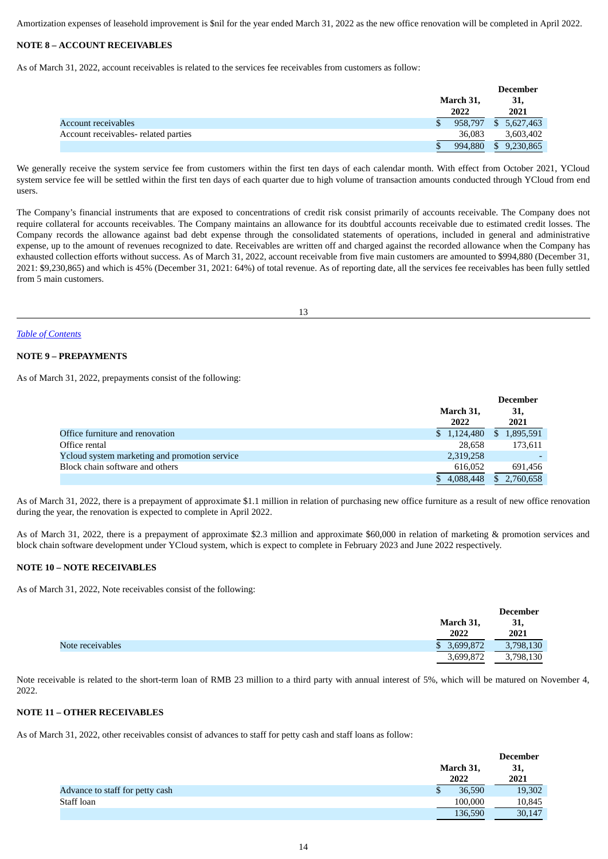Amortization expenses of leasehold improvement is \$nil for the year ended March 31, 2022 as the new office renovation will be completed in April 2022.

## **NOTE 8 – ACCOUNT RECEIVABLES**

As of March 31, 2022, account receivables is related to the services fee receivables from customers as follow:

|                                      |           | <b>December</b> |
|--------------------------------------|-----------|-----------------|
|                                      | March 31, | 31,             |
|                                      | 2022      | 2021            |
| Account receivables                  | 958.797   | 5,627,463<br>S. |
| Account receivables- related parties | 36,083    | 3,603,402       |
|                                      | 994,880   | 9,230,865       |

We generally receive the system service fee from customers within the first ten days of each calendar month. With effect from October 2021, YCloud system service fee will be settled within the first ten days of each quarter due to high volume of transaction amounts conducted through YCloud from end users.

The Company's financial instruments that are exposed to concentrations of credit risk consist primarily of accounts receivable. The Company does not require collateral for accounts receivables. The Company maintains an allowance for its doubtful accounts receivable due to estimated credit losses. The Company records the allowance against bad debt expense through the consolidated statements of operations, included in general and administrative expense, up to the amount of revenues recognized to date. Receivables are written off and charged against the recorded allowance when the Company has exhausted collection efforts without success. As of March 31, 2022, account receivable from five main customers are amounted to \$994,880 (December 31, 2021: \$9,230,865) and which is 45% (December 31, 2021: 64%) of total revenue. As of reporting date, all the services fee receivables has been fully settled from 5 main customers.

13

#### *Table of [Contents](#page-0-0)*

## **NOTE 9 – PREPAYMENTS**

As of March 31, 2022, prepayments consist of the following:

|                                               |             | <b>December</b> |
|-----------------------------------------------|-------------|-----------------|
|                                               | March 31,   | 31,             |
|                                               | 2022        | 2021            |
| Office furniture and renovation               | \$1,124,480 | 1,895,591       |
| Office rental                                 | 28.658      | 173,611         |
| Ycloud system marketing and promotion service | 2,319,258   |                 |
| Block chain software and others               | 616.052     | 691.456         |
|                                               | 4,088,448   | 2,760,658       |

As of March 31, 2022, there is a prepayment of approximate \$1.1 million in relation of purchasing new office furniture as a result of new office renovation during the year, the renovation is expected to complete in April 2022.

As of March 31, 2022, there is a prepayment of approximate \$2.3 million and approximate \$60,000 in relation of marketing & promotion services and block chain software development under YCloud system, which is expect to complete in February 2023 and June 2022 respectively.

## **NOTE 10 – NOTE RECEIVABLES**

As of March 31, 2022, Note receivables consist of the following:

|                  |                 | <b>December</b> |
|------------------|-----------------|-----------------|
|                  | March 31,       | 31,             |
|                  | 2022            | 2021            |
| Note receivables | 3,699,872<br>\$ | 3,798,130       |
|                  | 3,699,872       | 3,798,130       |

Note receivable is related to the short-term loan of RMB 23 million to a third party with annual interest of 5%, which will be matured on November 4, 2022.

## **NOTE 11 – OTHER RECEIVABLES**

As of March 31, 2022, other receivables consist of advances to staff for petty cash and staff loans as follow:

|                                 |                   | <b>December</b> |
|---------------------------------|-------------------|-----------------|
|                                 | March 31,<br>2022 | 31,<br>2021     |
| Advance to staff for petty cash | 36,590<br>Φ       | 19,302          |
| Staff loan                      | 100.000           | 10,845          |
|                                 | 136,590           | 30,147          |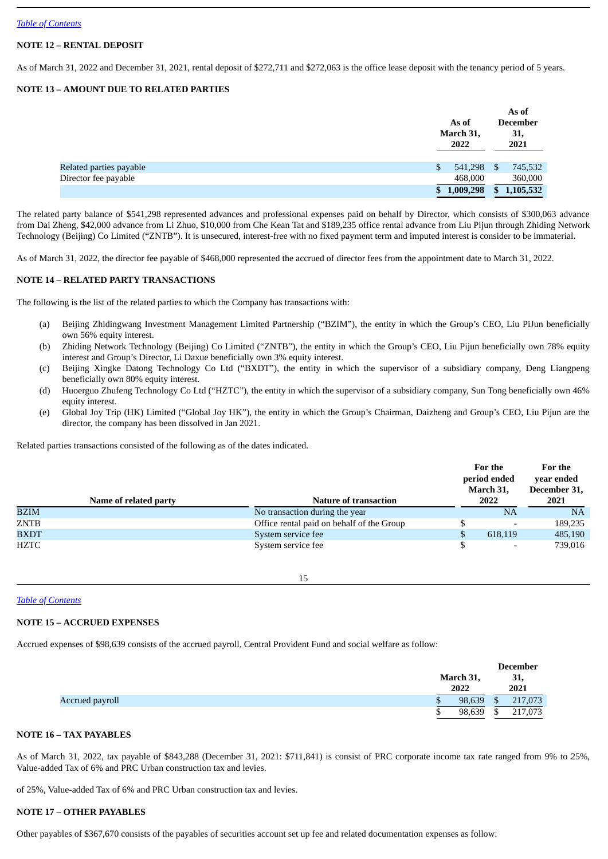# **NOTE 12 – RENTAL DEPOSIT**

As of March 31, 2022 and December 31, 2021, rental deposit of \$272,711 and \$272,063 is the office lease deposit with the tenancy period of 5 years.

# **NOTE 13 – AMOUNT DUE TO RELATED PARTIES**

|                         | As of<br>March 31,<br>2022 |              | As of<br><b>December</b><br>31,<br>2021 |
|-------------------------|----------------------------|--------------|-----------------------------------------|
| Related parties payable | \$<br>541,298              | <sup>S</sup> | 745,532                                 |
| Director fee payable    | 468,000                    |              | 360,000                                 |
|                         | \$<br>1,009,298            | \$           | 1,105,532                               |

The related party balance of \$541,298 represented advances and professional expenses paid on behalf by Director, which consists of \$300,063 advance from Dai Zheng, \$42,000 advance from Li Zhuo, \$10,000 from Che Kean Tat and \$189,235 office rental advance from Liu Pijun through Zhiding Network Technology (Beijing) Co Limited ("ZNTB"). It is unsecured, interest-free with no fixed payment term and imputed interest is consider to be immaterial.

As of March 31, 2022, the director fee payable of \$468,000 represented the accrued of director fees from the appointment date to March 31, 2022.

# **NOTE 14 – RELATED PARTY TRANSACTIONS**

The following is the list of the related parties to which the Company has transactions with:

- (a) Beijing Zhidingwang Investment Management Limited Partnership ("BZIM"), the entity in which the Group's CEO, Liu PiJun beneficially own 56% equity interest.
- (b) Zhiding Network Technology (Beijing) Co Limited ("ZNTB"), the entity in which the Group's CEO, Liu Pijun beneficially own 78% equity interest and Group's Director, Li Daxue beneficially own 3% equity interest.
- (c) Beijing Xingke Datong Technology Co Ltd ("BXDT"), the entity in which the supervisor of a subsidiary company, Deng Liangpeng beneficially own 80% equity interest.
- (d) Huoerguo Zhufeng Technology Co Ltd ("HZTC"), the entity in which the supervisor of a subsidiary company, Sun Tong beneficially own 46% equity interest.
- (e) Global Joy Trip (HK) Limited ("Global Joy HK"), the entity in which the Group's Chairman, Daizheng and Group's CEO, Liu Pijun are the director, the company has been dissolved in Jan 2021.

Related parties transactions consisted of the following as of the dates indicated.

|             |                       |                                           |   | For the<br>period ended<br>March 31, | For the<br>year ended<br>December 31, |
|-------------|-----------------------|-------------------------------------------|---|--------------------------------------|---------------------------------------|
|             | Name of related party | <b>Nature of transaction</b>              |   | 2022                                 | 2021                                  |
| <b>BZIM</b> |                       | No transaction during the year            |   | NA                                   | <b>NA</b>                             |
| ZNTB        |                       | Office rental paid on behalf of the Group |   |                                      | 189,235                               |
| <b>BXDT</b> |                       | System service fee                        | S | 618,119                              | 485,190                               |
| HZTC        |                       | System service fee                        |   | ۰                                    | 739,016                               |

15

# *Table of [Contents](#page-0-0)*

## **NOTE 15 – ACCRUED EXPENSES**

Accrued expenses of \$98,639 consists of the accrued payroll, Central Provident Fund and social welfare as follow:

|                 |   |           | <b>December</b> |
|-----------------|---|-----------|-----------------|
|                 |   | March 31, | 31,             |
|                 |   | 2022      | 2021            |
| Accrued payroll | Φ | 98,639    | \$<br>217,073   |
|                 | ω | 98,639    | \$<br>217,073   |

## **NOTE 16 – TAX PAYABLES**

As of March 31, 2022, tax payable of \$843,288 (December 31, 2021: \$711,841) is consist of PRC corporate income tax rate ranged from 9% to 25%, Value-added Tax of 6% and PRC Urban construction tax and levies.

of 25%, Value-added Tax of 6% and PRC Urban construction tax and levies.

## **NOTE 17 – OTHER PAYABLES**

Other payables of \$367,670 consists of the payables of securities account set up fee and related documentation expenses as follow: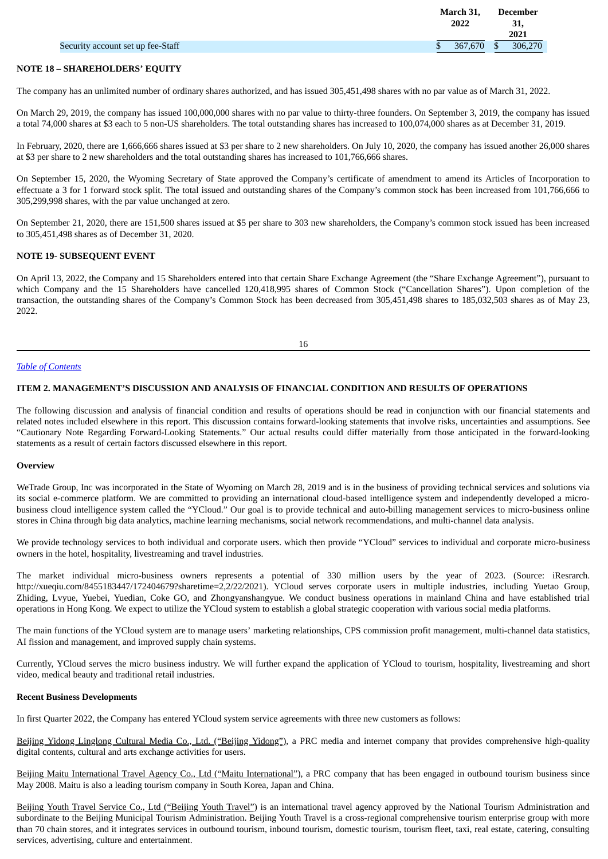|                                   | March 31,<br>2022 |      | December<br>31, |
|-----------------------------------|-------------------|------|-----------------|
|                                   |                   |      | 2021            |
| Security account set up fee-Staff | 367,670           | - \$ | 306,270         |

## **NOTE 18 – SHAREHOLDERS' EQUITY**

The company has an unlimited number of ordinary shares authorized, and has issued 305,451,498 shares with no par value as of March 31, 2022.

On March 29, 2019, the company has issued 100,000,000 shares with no par value to thirty-three founders. On September 3, 2019, the company has issued a total 74,000 shares at \$3 each to 5 non-US shareholders. The total outstanding shares has increased to 100,074,000 shares as at December 31, 2019.

In February, 2020, there are 1,666,666 shares issued at \$3 per share to 2 new shareholders. On July 10, 2020, the company has issued another 26,000 shares at \$3 per share to 2 new shareholders and the total outstanding shares has increased to 101,766,666 shares.

On September 15, 2020, the Wyoming Secretary of State approved the Company's certificate of amendment to amend its Articles of Incorporation to effectuate a 3 for 1 forward stock split. The total issued and outstanding shares of the Company's common stock has been increased from 101,766,666 to 305,299,998 shares, with the par value unchanged at zero.

On September 21, 2020, there are 151,500 shares issued at \$5 per share to 303 new shareholders, the Company's common stock issued has been increased to 305,451,498 shares as of December 31, 2020.

## **NOTE 19- SUBSEQUENT EVENT**

On April 13, 2022, the Company and 15 Shareholders entered into that certain Share Exchange Agreement (the "Share Exchange Agreement"), pursuant to which Company and the 15 Shareholders have cancelled 120,418,995 shares of Common Stock ("Cancellation Shares"). Upon completion of the transaction, the outstanding shares of the Company's Common Stock has been decreased from 305,451,498 shares to 185,032,503 shares as of May 23, 2022.

16

#### *Table of [Contents](#page-0-0)*

#### <span id="page-13-0"></span>**ITEM 2. MANAGEMENT'S DISCUSSION AND ANALYSIS OF FINANCIAL CONDITION AND RESULTS OF OPERATIONS**

The following discussion and analysis of financial condition and results of operations should be read in conjunction with our financial statements and related notes included elsewhere in this report. This discussion contains forward-looking statements that involve risks, uncertainties and assumptions. See "Cautionary Note Regarding Forward-Looking Statements." Our actual results could differ materially from those anticipated in the forward-looking statements as a result of certain factors discussed elsewhere in this report.

#### **Overview**

WeTrade Group, Inc was incorporated in the State of Wyoming on March 28, 2019 and is in the business of providing technical services and solutions via its social e-commerce platform. We are committed to providing an international cloud-based intelligence system and independently developed a microbusiness cloud intelligence system called the "YCloud." Our goal is to provide technical and auto-billing management services to micro-business online stores in China through big data analytics, machine learning mechanisms, social network recommendations, and multi-channel data analysis.

We provide technology services to both individual and corporate users. which then provide "YCloud" services to individual and corporate micro-business owners in the hotel, hospitality, livestreaming and travel industries.

The market individual micro-business owners represents a potential of 330 million users by the year of 2023. (Source: iResrarch. http://xueqiu.com/8455183447/172404679?sharetime=2,2/22/2021). YCloud serves corporate users in multiple industries, including Yuetao Group, Zhiding, Lvyue, Yuebei, Yuedian, Coke GO, and Zhongyanshangyue. We conduct business operations in mainland China and have established trial operations in Hong Kong. We expect to utilize the YCloud system to establish a global strategic cooperation with various social media platforms.

The main functions of the YCloud system are to manage users' marketing relationships, CPS commission profit management, multi-channel data statistics, AI fission and management, and improved supply chain systems.

Currently, YCloud serves the micro business industry. We will further expand the application of YCloud to tourism, hospitality, livestreaming and short video, medical beauty and traditional retail industries.

#### **Recent Business Developments**

In first Quarter 2022, the Company has entered YCloud system service agreements with three new customers as follows:

Beijing Yidong Linglong Cultural Media Co., Ltd. ("Beijing Yidong"), a PRC media and internet company that provides comprehensive high-quality digital contents, cultural and arts exchange activities for users.

Beijing Maitu International Travel Agency Co., Ltd ("Maitu International"), a PRC company that has been engaged in outbound tourism business since May 2008. Maitu is also a leading tourism company in South Korea, Japan and China.

Beijing Youth Travel Service Co., Ltd ("Beijing Youth Travel") is an international travel agency approved by the National Tourism Administration and subordinate to the Beijing Municipal Tourism Administration. Beijing Youth Travel is a cross-regional comprehensive tourism enterprise group with more than 70 chain stores, and it integrates services in outbound tourism, inbound tourism, domestic tourism, tourism fleet, taxi, real estate, catering, consulting services, advertising, culture and entertainment.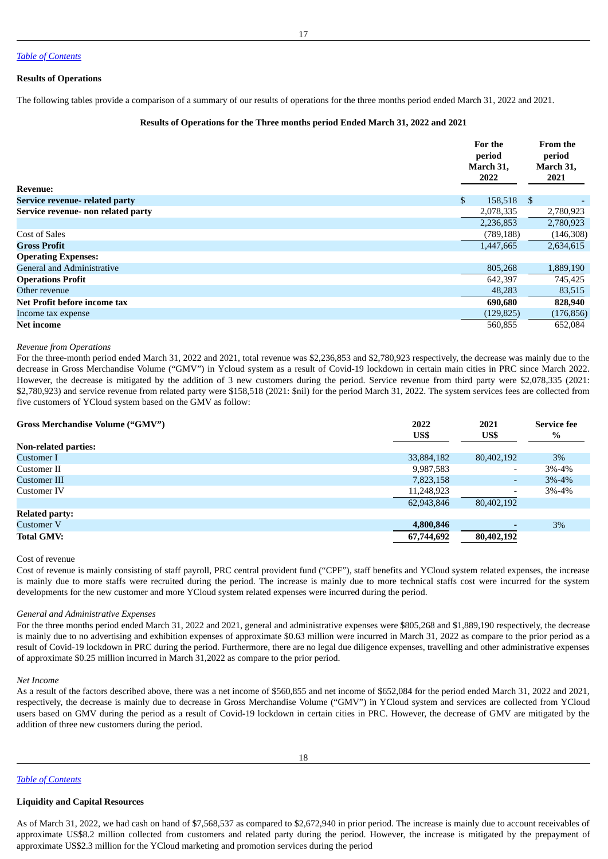#### **Results of Operations**

The following tables provide a comparison of a summary of our results of operations for the three months period ended March 31, 2022 and 2021.

#### **Results of Operations for the Three months period Ended March 31, 2022 and 2021**

| <b>Revenue:</b>                    | For the<br>period<br>March 31,<br>2022 |            | <b>From the</b><br>period<br>March 31,<br>2021 |  |
|------------------------------------|----------------------------------------|------------|------------------------------------------------|--|
| Service revenue- related party     | \$                                     | 158,518 \$ |                                                |  |
| Service revenue- non related party |                                        | 2,078,335  | 2,780,923                                      |  |
|                                    |                                        | 2,236,853  | 2,780,923                                      |  |
| <b>Cost of Sales</b>               |                                        | (789, 188) | (146,308)                                      |  |
| <b>Gross Profit</b>                |                                        | 1,447,665  | 2,634,615                                      |  |
| <b>Operating Expenses:</b>         |                                        |            |                                                |  |
| <b>General and Administrative</b>  |                                        | 805,268    | 1,889,190                                      |  |
| <b>Operations Profit</b>           |                                        | 642,397    | 745,425                                        |  |
| Other revenue                      |                                        | 48,283     | 83,515                                         |  |
| Net Profit before income tax       |                                        | 690,680    | 828,940                                        |  |
| Income tax expense                 |                                        | (129, 825) | (176, 856)                                     |  |
| <b>Net income</b>                  |                                        | 560,855    | 652,084                                        |  |

#### *Revenue from Operations*

For the three-month period ended March 31, 2022 and 2021, total revenue was \$2,236,853 and \$2,780,923 respectively, the decrease was mainly due to the decrease in Gross Merchandise Volume ("GMV") in Ycloud system as a result of Covid-19 lockdown in certain main cities in PRC since March 2022. However, the decrease is mitigated by the addition of 3 new customers during the period. Service revenue from third party were \$2,078,335 (2021: \$2,780,923) and service revenue from related party were \$158,518 (2021: \$nil) for the period March 31, 2022. The system services fees are collected from five customers of YCloud system based on the GMV as follow:

| <b>Gross Merchandise Volume ("GMV")</b> | 2022<br>US\$ | 2021<br>US\$             | <b>Service fee</b><br>$\%$ |
|-----------------------------------------|--------------|--------------------------|----------------------------|
| <b>Non-related parties:</b>             |              |                          |                            |
| Customer I                              | 33,884,182   | 80,402,192               | 3%                         |
| Customer II                             | 9,987,583    | $\overline{\phantom{a}}$ | 3%-4%                      |
| Customer III                            | 7,823,158    | ۰.                       | $3% - 4%$                  |
| Customer IV                             | 11,248,923   | $\overline{\phantom{0}}$ | 3%-4%                      |
|                                         | 62,943,846   | 80,402,192               |                            |
| <b>Related party:</b>                   |              |                          |                            |
| <b>Customer V</b>                       | 4,800,846    |                          | 3%                         |
| <b>Total GMV:</b>                       | 67,744,692   | 80,402,192               |                            |

Cost of revenue

Cost of revenue is mainly consisting of staff payroll, PRC central provident fund ("CPF"), staff benefits and YCloud system related expenses, the increase is mainly due to more staffs were recruited during the period. The increase is mainly due to more technical staffs cost were incurred for the system developments for the new customer and more YCloud system related expenses were incurred during the period.

#### *General and Administrative Expenses*

For the three months period ended March 31, 2022 and 2021, general and administrative expenses were \$805,268 and \$1,889,190 respectively, the decrease is mainly due to no advertising and exhibition expenses of approximate \$0.63 million were incurred in March 31, 2022 as compare to the prior period as a result of Covid-19 lockdown in PRC during the period. Furthermore, there are no legal due diligence expenses, travelling and other administrative expenses of approximate \$0.25 million incurred in March 31,2022 as compare to the prior period.

#### *Net Income*

As a result of the factors described above, there was a net income of \$560,855 and net income of \$652,084 for the period ended March 31, 2022 and 2021, respectively, the decrease is mainly due to decrease in Gross Merchandise Volume ("GMV") in YCloud system and services are collected from YCloud users based on GMV during the period as a result of Covid-19 lockdown in certain cities in PRC. However, the decrease of GMV are mitigated by the addition of three new customers during the period.

18

*Table of [Contents](#page-0-0)*

#### **Liquidity and Capital Resources**

As of March 31, 2022, we had cash on hand of \$7,568,537 as compared to \$2,672,940 in prior period. The increase is mainly due to account receivables of approximate US\$8.2 million collected from customers and related party during the period. However, the increase is mitigated by the prepayment of approximate US\$2.3 million for the YCloud marketing and promotion services during the period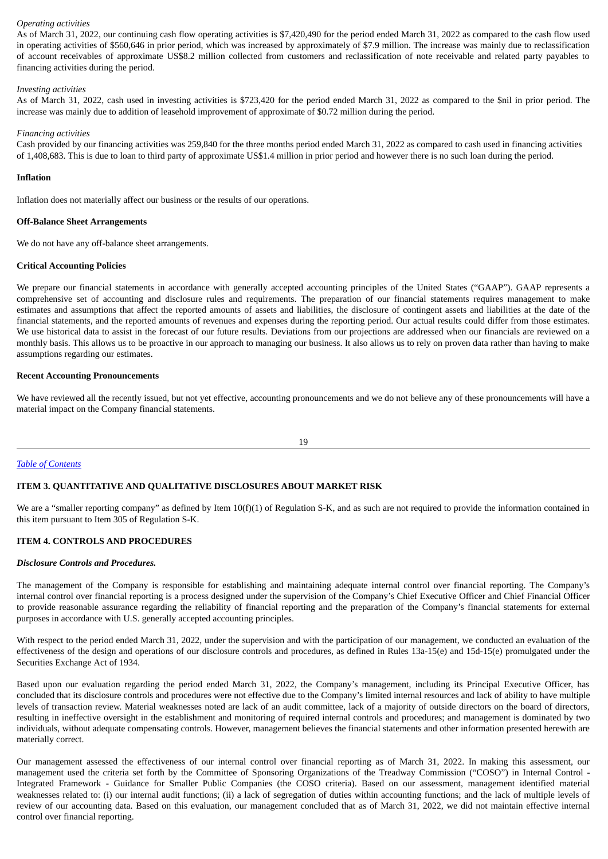## *Operating activities*

As of March 31, 2022, our continuing cash flow operating activities is \$7,420,490 for the period ended March 31, 2022 as compared to the cash flow used in operating activities of \$560,646 in prior period, which was increased by approximately of \$7.9 million. The increase was mainly due to reclassification of account receivables of approximate US\$8.2 million collected from customers and reclassification of note receivable and related party payables to financing activities during the period.

#### *Investing activities*

As of March 31, 2022, cash used in investing activities is \$723,420 for the period ended March 31, 2022 as compared to the \$nil in prior period. The increase was mainly due to addition of leasehold improvement of approximate of \$0.72 million during the period.

#### *Financing activities*

Cash provided by our financing activities was 259,840 for the three months period ended March 31, 2022 as compared to cash used in financing activities of 1,408,683. This is due to loan to third party of approximate US\$1.4 million in prior period and however there is no such loan during the period.

#### **Inflation**

Inflation does not materially affect our business or the results of our operations.

#### **Off-Balance Sheet Arrangements**

We do not have any off-balance sheet arrangements.

#### **Critical Accounting Policies**

We prepare our financial statements in accordance with generally accepted accounting principles of the United States ("GAAP"). GAAP represents a comprehensive set of accounting and disclosure rules and requirements. The preparation of our financial statements requires management to make estimates and assumptions that affect the reported amounts of assets and liabilities, the disclosure of contingent assets and liabilities at the date of the financial statements, and the reported amounts of revenues and expenses during the reporting period. Our actual results could differ from those estimates. We use historical data to assist in the forecast of our future results. Deviations from our projections are addressed when our financials are reviewed on a monthly basis. This allows us to be proactive in our approach to managing our business. It also allows us to rely on proven data rather than having to make assumptions regarding our estimates.

#### **Recent Accounting Pronouncements**

We have reviewed all the recently issued, but not yet effective, accounting pronouncements and we do not believe any of these pronouncements will have a material impact on the Company financial statements.

#### 19

## *Table of [Contents](#page-0-0)*

## <span id="page-15-0"></span>**ITEM 3. QUANTITATIVE AND QUALITATIVE DISCLOSURES ABOUT MARKET RISK**

We are a "smaller reporting company" as defined by Item  $10(f)(1)$  of Regulation S-K, and as such are not required to provide the information contained in this item pursuant to Item 305 of Regulation S-K.

## <span id="page-15-1"></span>**ITEM 4. CONTROLS AND PROCEDURES**

#### *Disclosure Controls and Procedures.*

The management of the Company is responsible for establishing and maintaining adequate internal control over financial reporting. The Company's internal control over financial reporting is a process designed under the supervision of the Company's Chief Executive Officer and Chief Financial Officer to provide reasonable assurance regarding the reliability of financial reporting and the preparation of the Company's financial statements for external purposes in accordance with U.S. generally accepted accounting principles.

With respect to the period ended March 31, 2022, under the supervision and with the participation of our management, we conducted an evaluation of the effectiveness of the design and operations of our disclosure controls and procedures, as defined in Rules 13a-15(e) and 15d-15(e) promulgated under the Securities Exchange Act of 1934.

Based upon our evaluation regarding the period ended March 31, 2022, the Company's management, including its Principal Executive Officer, has concluded that its disclosure controls and procedures were not effective due to the Company's limited internal resources and lack of ability to have multiple levels of transaction review. Material weaknesses noted are lack of an audit committee, lack of a majority of outside directors on the board of directors, resulting in ineffective oversight in the establishment and monitoring of required internal controls and procedures; and management is dominated by two individuals, without adequate compensating controls. However, management believes the financial statements and other information presented herewith are materially correct.

Our management assessed the effectiveness of our internal control over financial reporting as of March 31, 2022. In making this assessment, our management used the criteria set forth by the Committee of Sponsoring Organizations of the Treadway Commission ("COSO") in Internal Control - Integrated Framework - Guidance for Smaller Public Companies (the COSO criteria). Based on our assessment, management identified material weaknesses related to: (i) our internal audit functions; (ii) a lack of segregation of duties within accounting functions; and the lack of multiple levels of review of our accounting data. Based on this evaluation, our management concluded that as of March 31, 2022, we did not maintain effective internal control over financial reporting.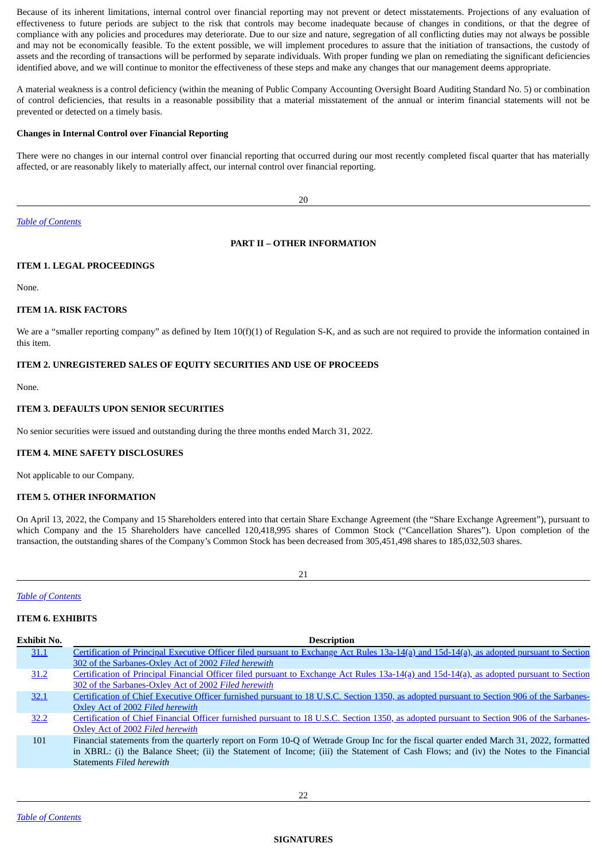Because of its inherent limitations, internal control over financial reporting may not prevent or detect misstatements. Projections of any evaluation of effectiveness to future periods are subject to the risk that controls may become inadequate because of changes in conditions, or that the degree of compliance with any policies and procedures may deteriorate. Due to our size and nature, segregation of all conflicting duties may not always be possible and may not be economically feasible. To the extent possible, we will implement procedures to assure that the initiation of transactions, the custody of assets and the recording of transactions will be performed by separate individuals. With proper funding we plan on remediating the significant deficiencies identified above, and we will continue to monitor the effectiveness of these steps and make any changes that our management deems appropriate.

A material weakness is a control deficiency (within the meaning of Public Company Accounting Oversight Board Auditing Standard No. 5) or combination of control deficiencies, that results in a reasonable possibility that a material misstatement of the annual or interim financial statements will not be prevented or detected on a timely basis.

## **Changes in Internal Control over Financial Reporting**

There were no changes in our internal control over financial reporting that occurred during our most recently completed fiscal quarter that has materially affected, or are reasonably likely to materially affect, our internal control over financial reporting.

20

*Table of [Contents](#page-0-0)*

## <span id="page-16-0"></span>**PART II – OTHER INFORMATION**

#### <span id="page-16-1"></span>**ITEM 1. LEGAL PROCEEDINGS**

None.

## <span id="page-16-2"></span>**ITEM 1A. RISK FACTORS**

We are a "smaller reporting company" as defined by Item 10(f)(1) of Regulation S-K, and as such are not required to provide the information contained in this item.

## <span id="page-16-3"></span>**ITEM 2. UNREGISTERED SALES OF EQUITY SECURITIES AND USE OF PROCEEDS**

None.

## <span id="page-16-4"></span>**ITEM 3. DEFAULTS UPON SENIOR SECURITIES**

No senior securities were issued and outstanding during the three months ended March 31, 2022.

#### <span id="page-16-5"></span>**ITEM 4. MINE SAFETY DISCLOSURES**

Not applicable to our Company.

#### <span id="page-16-6"></span>**ITEM 5. OTHER INFORMATION**

On April 13, 2022, the Company and 15 Shareholders entered into that certain Share Exchange Agreement (the "Share Exchange Agreement"), pursuant to which Company and the 15 Shareholders have cancelled 120,418,995 shares of Common Stock ("Cancellation Shares"). Upon completion of the transaction, the outstanding shares of the Company's Common Stock has been decreased from 305,451,498 shares to 185,032,503 shares.

<span id="page-16-8"></span>21

# *Table of [Contents](#page-0-0)*

## <span id="page-16-7"></span>**ITEM 6. EXHIBITS**

| Exhibit No. | <b>Description</b>                                                                                                                         |
|-------------|--------------------------------------------------------------------------------------------------------------------------------------------|
| 31.1        | Certification of Principal Executive Officer filed pursuant to Exchange Act Rules 13a-14(a) and 15d-14(a), as adopted pursuant to Section  |
|             | 302 of the Sarbanes-Oxley Act of 2002 Filed herewith                                                                                       |
| 31.2        | Certification of Principal Financial Officer filed pursuant to Exchange Act Rules 13a-14(a) and 15d-14(a), as adopted pursuant to Section  |
|             | 302 of the Sarbanes-Oxley Act of 2002 Filed herewith                                                                                       |
| 32.1        | Certification of Chief Executive Officer furnished pursuant to 18 U.S.C. Section 1350, as adopted pursuant to Section 906 of the Sarbanes- |
|             | Oxley Act of 2002 Filed herewith                                                                                                           |
| 32.2        | Certification of Chief Financial Officer furnished pursuant to 18 U.S.C. Section 1350, as adopted pursuant to Section 906 of the Sarbanes- |
|             | Oxley Act of 2002 Filed herewith                                                                                                           |
| 101         | Financial statements from the quarterly report on Form 10-Q of Wetrade Group Inc for the fiscal quarter ended March 31, 2022, formatted    |
|             | in XBRL: (i) the Balance Sheet; (ii) the Statement of Income; (iii) the Statement of Cash Flows; and (iv) the Notes to the Financial       |
|             | Statements Filed herewith                                                                                                                  |
|             |                                                                                                                                            |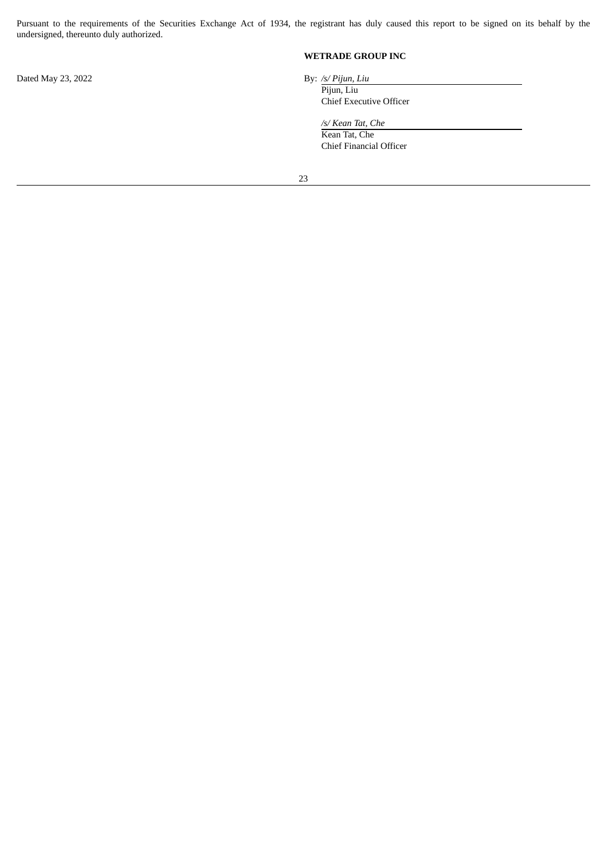Pursuant to the requirements of the Securities Exchange Act of 1934, the registrant has duly caused this report to be signed on its behalf by the undersigned, thereunto duly authorized.

**WETRADE GROUP INC**

Dated May 23, 2022 By: */s/ Pijun, Liu*

Pijun, Liu

Chief Executive Officer

*/s/ Kean Tat, Che* Kean Tat, Che Chief Financial Officer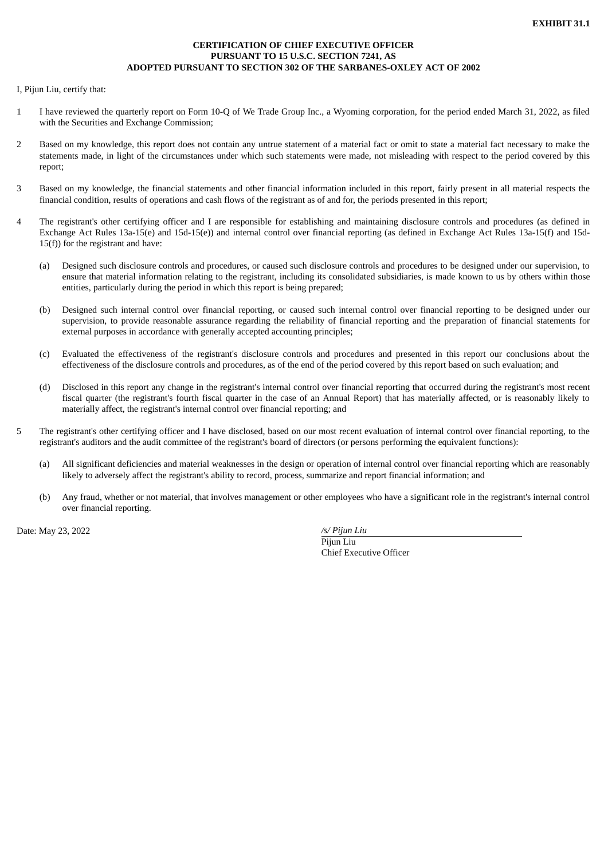## **CERTIFICATION OF CHIEF EXECUTIVE OFFICER PURSUANT TO 15 U.S.C. SECTION 7241, AS ADOPTED PURSUANT TO SECTION 302 OF THE SARBANES-OXLEY ACT OF 2002**

<span id="page-18-0"></span>I, Pijun Liu, certify that:

- 1 I have reviewed the quarterly report on Form 10-Q of We Trade Group Inc., a Wyoming corporation, for the period ended March 31, 2022, as filed with the Securities and Exchange Commission;
- 2 Based on my knowledge, this report does not contain any untrue statement of a material fact or omit to state a material fact necessary to make the statements made, in light of the circumstances under which such statements were made, not misleading with respect to the period covered by this report;
- 3 Based on my knowledge, the financial statements and other financial information included in this report, fairly present in all material respects the financial condition, results of operations and cash flows of the registrant as of and for, the periods presented in this report;
- 4 The registrant's other certifying officer and I are responsible for establishing and maintaining disclosure controls and procedures (as defined in Exchange Act Rules 13a-15(e) and 15d-15(e)) and internal control over financial reporting (as defined in Exchange Act Rules 13a-15(f) and 15d- $15(f)$ ) for the registrant and have:
	- (a) Designed such disclosure controls and procedures, or caused such disclosure controls and procedures to be designed under our supervision, to ensure that material information relating to the registrant, including its consolidated subsidiaries, is made known to us by others within those entities, particularly during the period in which this report is being prepared;
	- (b) Designed such internal control over financial reporting, or caused such internal control over financial reporting to be designed under our supervision, to provide reasonable assurance regarding the reliability of financial reporting and the preparation of financial statements for external purposes in accordance with generally accepted accounting principles;
	- (c) Evaluated the effectiveness of the registrant's disclosure controls and procedures and presented in this report our conclusions about the effectiveness of the disclosure controls and procedures, as of the end of the period covered by this report based on such evaluation; and
	- (d) Disclosed in this report any change in the registrant's internal control over financial reporting that occurred during the registrant's most recent fiscal quarter (the registrant's fourth fiscal quarter in the case of an Annual Report) that has materially affected, or is reasonably likely to materially affect, the registrant's internal control over financial reporting; and
- 5 The registrant's other certifying officer and I have disclosed, based on our most recent evaluation of internal control over financial reporting, to the registrant's auditors and the audit committee of the registrant's board of directors (or persons performing the equivalent functions):
	- (a) All significant deficiencies and material weaknesses in the design or operation of internal control over financial reporting which are reasonably likely to adversely affect the registrant's ability to record, process, summarize and report financial information; and
	- (b) Any fraud, whether or not material, that involves management or other employees who have a significant role in the registrant's internal control over financial reporting.

Date: May 23, 2022 */s/ Pijun Liu*

Pijun Liu Chief Executive Officer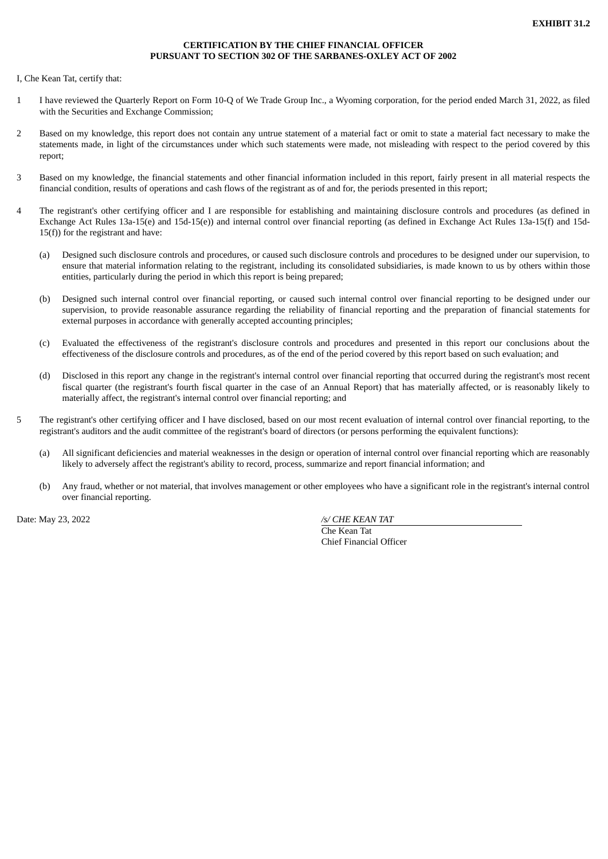## **CERTIFICATION BY THE CHIEF FINANCIAL OFFICER PURSUANT TO SECTION 302 OF THE SARBANES-OXLEY ACT OF 2002**

<span id="page-19-0"></span>I, Che Kean Tat, certify that:

- 1 I have reviewed the Quarterly Report on Form 10-Q of We Trade Group Inc., a Wyoming corporation, for the period ended March 31, 2022, as filed with the Securities and Exchange Commission;
- 2 Based on my knowledge, this report does not contain any untrue statement of a material fact or omit to state a material fact necessary to make the statements made, in light of the circumstances under which such statements were made, not misleading with respect to the period covered by this report;
- 3 Based on my knowledge, the financial statements and other financial information included in this report, fairly present in all material respects the financial condition, results of operations and cash flows of the registrant as of and for, the periods presented in this report;
- 4 The registrant's other certifying officer and I are responsible for establishing and maintaining disclosure controls and procedures (as defined in Exchange Act Rules 13a-15(e) and 15d-15(e)) and internal control over financial reporting (as defined in Exchange Act Rules 13a-15(f) and 15d-15(f)) for the registrant and have:
	- (a) Designed such disclosure controls and procedures, or caused such disclosure controls and procedures to be designed under our supervision, to ensure that material information relating to the registrant, including its consolidated subsidiaries, is made known to us by others within those entities, particularly during the period in which this report is being prepared;
	- (b) Designed such internal control over financial reporting, or caused such internal control over financial reporting to be designed under our supervision, to provide reasonable assurance regarding the reliability of financial reporting and the preparation of financial statements for external purposes in accordance with generally accepted accounting principles;
	- (c) Evaluated the effectiveness of the registrant's disclosure controls and procedures and presented in this report our conclusions about the effectiveness of the disclosure controls and procedures, as of the end of the period covered by this report based on such evaluation; and
	- (d) Disclosed in this report any change in the registrant's internal control over financial reporting that occurred during the registrant's most recent fiscal quarter (the registrant's fourth fiscal quarter in the case of an Annual Report) that has materially affected, or is reasonably likely to materially affect, the registrant's internal control over financial reporting; and
- 5 The registrant's other certifying officer and I have disclosed, based on our most recent evaluation of internal control over financial reporting, to the registrant's auditors and the audit committee of the registrant's board of directors (or persons performing the equivalent functions):
	- (a) All significant deficiencies and material weaknesses in the design or operation of internal control over financial reporting which are reasonably likely to adversely affect the registrant's ability to record, process, summarize and report financial information; and
	- (b) Any fraud, whether or not material, that involves management or other employees who have a significant role in the registrant's internal control over financial reporting.

Date: May 23, 2022 */s/ CHE KEAN TAT*

Che Kean Tat Chief Financial Officer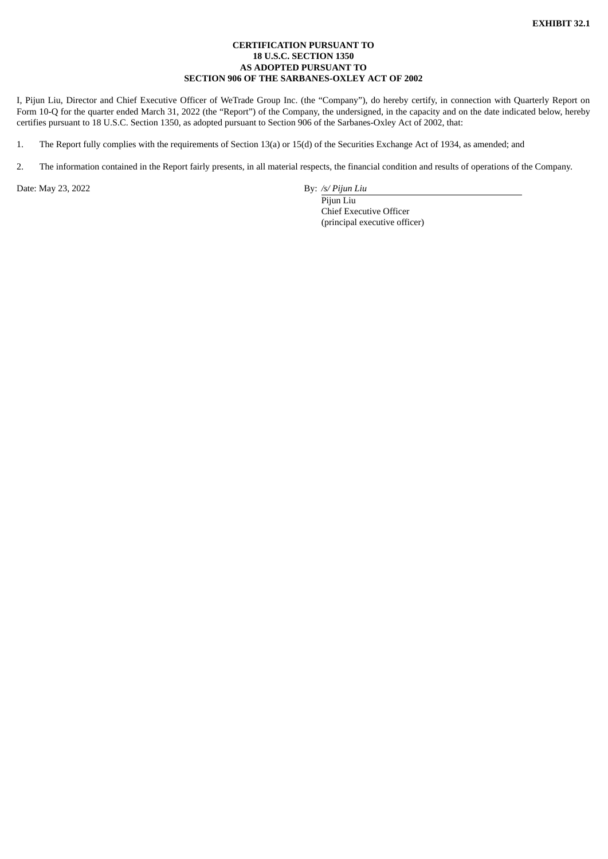## **CERTIFICATION PURSUANT TO 18 U.S.C. SECTION 1350 AS ADOPTED PURSUANT TO SECTION 906 OF THE SARBANES-OXLEY ACT OF 2002**

<span id="page-20-0"></span>I, Pijun Liu, Director and Chief Executive Officer of WeTrade Group Inc. (the "Company"), do hereby certify, in connection with Quarterly Report on Form 10-Q for the quarter ended March 31, 2022 (the "Report") of the Company, the undersigned, in the capacity and on the date indicated below, hereby certifies pursuant to 18 U.S.C. Section 1350, as adopted pursuant to Section 906 of the Sarbanes-Oxley Act of 2002, that:

1. The Report fully complies with the requirements of Section 13(a) or 15(d) of the Securities Exchange Act of 1934, as amended; and

2. The information contained in the Report fairly presents, in all material respects, the financial condition and results of operations of the Company.

Date: May 23, 2022 **By:** */s/ Pijun Liu* 

Pijun Liu Chief Executive Officer (principal executive officer)